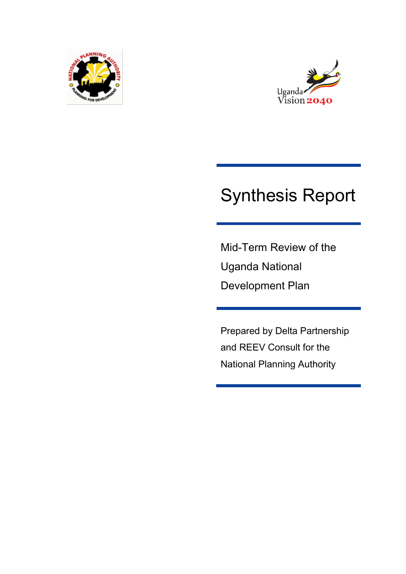



# Synthesis Report

Mid-Term Review of the Uganda National Development Plan

Prepared by Delta Partnership and REEV Consult for the National Planning Authority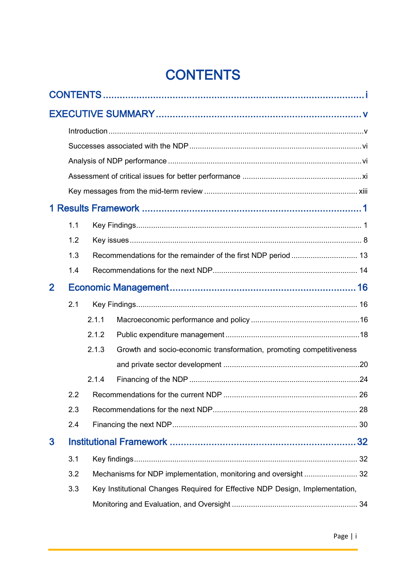# **CONTENTS**

<span id="page-1-0"></span>

|              | 1.1 |                                                                              |                                                                     |  |  |  |
|--------------|-----|------------------------------------------------------------------------------|---------------------------------------------------------------------|--|--|--|
|              | 1.2 |                                                                              |                                                                     |  |  |  |
|              | 1.3 | Recommendations for the remainder of the first NDP period  13                |                                                                     |  |  |  |
|              | 1.4 |                                                                              |                                                                     |  |  |  |
| $\mathbf{2}$ |     |                                                                              |                                                                     |  |  |  |
|              | 2.1 |                                                                              |                                                                     |  |  |  |
|              |     | 2.1.1                                                                        |                                                                     |  |  |  |
|              |     | 2.1.2                                                                        |                                                                     |  |  |  |
|              |     | 2.1.3                                                                        | Growth and socio-economic transformation, promoting competitiveness |  |  |  |
|              |     |                                                                              |                                                                     |  |  |  |
|              |     | 2.1.4                                                                        |                                                                     |  |  |  |
|              |     |                                                                              |                                                                     |  |  |  |
|              | 2.3 |                                                                              |                                                                     |  |  |  |
|              | 2.4 |                                                                              |                                                                     |  |  |  |
| 3            |     |                                                                              |                                                                     |  |  |  |
|              | 3.1 |                                                                              |                                                                     |  |  |  |
|              | 3.2 |                                                                              |                                                                     |  |  |  |
|              | 3.3 | Key Institutional Changes Required for Effective NDP Design, Implementation, |                                                                     |  |  |  |
|              |     |                                                                              |                                                                     |  |  |  |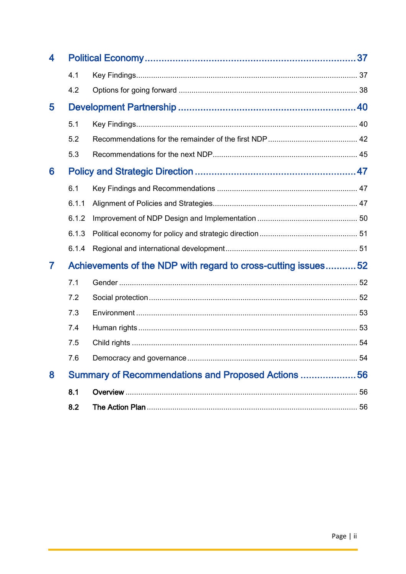| 4 |                                                               |  |  |  |  |
|---|---------------------------------------------------------------|--|--|--|--|
|   | 4.1                                                           |  |  |  |  |
|   | 4.2                                                           |  |  |  |  |
| 5 |                                                               |  |  |  |  |
|   | 5.1                                                           |  |  |  |  |
|   | 5.2                                                           |  |  |  |  |
|   | 5.3                                                           |  |  |  |  |
| 6 |                                                               |  |  |  |  |
|   | 6.1                                                           |  |  |  |  |
|   | 6.1.1                                                         |  |  |  |  |
|   | 6.1.2                                                         |  |  |  |  |
|   | 6.1.3                                                         |  |  |  |  |
|   | 6.1.4                                                         |  |  |  |  |
| 7 | Achievements of the NDP with regard to cross-cutting issues52 |  |  |  |  |
|   | 7.1                                                           |  |  |  |  |
|   | 7.2                                                           |  |  |  |  |
|   | 7.3                                                           |  |  |  |  |
|   | 7.4                                                           |  |  |  |  |
|   | 7.5                                                           |  |  |  |  |
|   | 7.6                                                           |  |  |  |  |
| 8 | Summary of Recommendations and Proposed Actions  56           |  |  |  |  |
|   | 8.1                                                           |  |  |  |  |
|   | 8.2                                                           |  |  |  |  |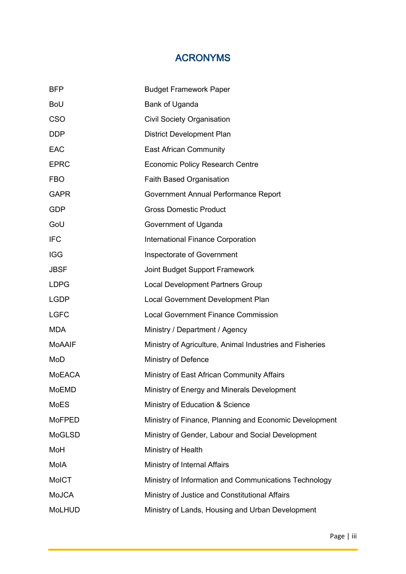# ACRONYMS

| <b>BFP</b>    | <b>Budget Framework Paper</b>                            |
|---------------|----------------------------------------------------------|
| <b>BoU</b>    | Bank of Uganda                                           |
| <b>CSO</b>    | <b>Civil Society Organisation</b>                        |
| <b>DDP</b>    | District Development Plan                                |
| <b>EAC</b>    | <b>East African Community</b>                            |
| <b>EPRC</b>   | <b>Economic Policy Research Centre</b>                   |
| <b>FBO</b>    | <b>Faith Based Organisation</b>                          |
| <b>GAPR</b>   | Government Annual Performance Report                     |
| <b>GDP</b>    | <b>Gross Domestic Product</b>                            |
| GoU           | Government of Uganda                                     |
| <b>IFC</b>    | International Finance Corporation                        |
| <b>IGG</b>    | Inspectorate of Government                               |
| <b>JBSF</b>   | Joint Budget Support Framework                           |
| <b>LDPG</b>   | <b>Local Development Partners Group</b>                  |
| <b>LGDP</b>   | Local Government Development Plan                        |
| <b>LGFC</b>   | <b>Local Government Finance Commission</b>               |
| <b>MDA</b>    | Ministry / Department / Agency                           |
| <b>MoAAIF</b> | Ministry of Agriculture, Animal Industries and Fisheries |
| MoD           | Ministry of Defence                                      |
| <b>MoEACA</b> | Ministry of East African Community Affairs               |
| MoEMD         | Ministry of Energy and Minerals Development              |
| <b>MoES</b>   | Ministry of Education & Science                          |
| <b>MoFPED</b> | Ministry of Finance, Planning and Economic Development   |
| MoGLSD        | Ministry of Gender, Labour and Social Development        |
| MoH           | Ministry of Health                                       |
| MolA          | Ministry of Internal Affairs                             |
| <b>MoICT</b>  | Ministry of Information and Communications Technology    |
| <b>MoJCA</b>  | Ministry of Justice and Constitutional Affairs           |
| <b>MoLHUD</b> | Ministry of Lands, Housing and Urban Development         |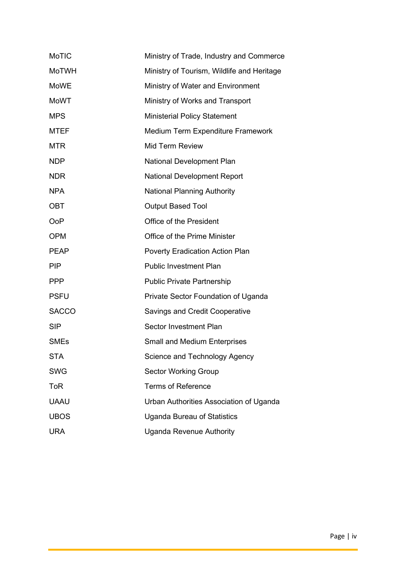| MoTIC        | Ministry of Trade, Industry and Commerce   |
|--------------|--------------------------------------------|
| <b>MoTWH</b> | Ministry of Tourism, Wildlife and Heritage |
| <b>MoWE</b>  | Ministry of Water and Environment          |
| <b>MoWT</b>  | Ministry of Works and Transport            |
| <b>MPS</b>   | <b>Ministerial Policy Statement</b>        |
| <b>MTEF</b>  | Medium Term Expenditure Framework          |
| <b>MTR</b>   | <b>Mid Term Review</b>                     |
| <b>NDP</b>   | National Development Plan                  |
| <b>NDR</b>   | <b>National Development Report</b>         |
| <b>NPA</b>   | <b>National Planning Authority</b>         |
| OBT          | <b>Output Based Tool</b>                   |
| <b>OoP</b>   | Office of the President                    |
| <b>OPM</b>   | Office of the Prime Minister               |
| <b>PEAP</b>  | Poverty Eradication Action Plan            |
| <b>PIP</b>   | <b>Public Investment Plan</b>              |
| <b>PPP</b>   | <b>Public Private Partnership</b>          |
| <b>PSFU</b>  | Private Sector Foundation of Uganda        |
| <b>SACCO</b> | <b>Savings and Credit Cooperative</b>      |
| <b>SIP</b>   | Sector Investment Plan                     |
| <b>SMEs</b>  | <b>Small and Medium Enterprises</b>        |
| <b>STA</b>   | Science and Technology Agency              |
| <b>SWG</b>   | <b>Sector Working Group</b>                |
| ToR          | <b>Terms of Reference</b>                  |
| <b>UAAU</b>  | Urban Authorities Association of Uganda    |
| <b>UBOS</b>  | <b>Uganda Bureau of Statistics</b>         |
| <b>URA</b>   | <b>Uganda Revenue Authority</b>            |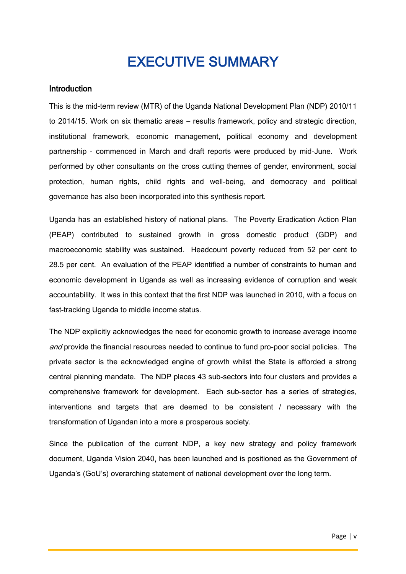# EXECUTIVE SUMMARY

#### <span id="page-5-1"></span><span id="page-5-0"></span>**Introduction**

This is the mid-term review (MTR) of the Uganda National Development Plan (NDP) 2010/11 to 2014/15. Work on six thematic areas – results framework, policy and strategic direction, institutional framework, economic management, political economy and development partnership - commenced in March and draft reports were produced by mid-June. Work performed by other consultants on the cross cutting themes of gender, environment, social protection, human rights, child rights and well-being, and democracy and political governance has also been incorporated into this synthesis report.

Uganda has an established history of national plans. The Poverty Eradication Action Plan (PEAP) contributed to sustained growth in gross domestic product (GDP) and macroeconomic stability was sustained. Headcount poverty reduced from 52 per cent to 28.5 per cent. An evaluation of the PEAP identified a number of constraints to human and economic development in Uganda as well as increasing evidence of corruption and weak accountability. It was in this context that the first NDP was launched in 2010, with a focus on fast-tracking Uganda to middle income status.

The NDP explicitly acknowledges the need for economic growth to increase average income and provide the financial resources needed to continue to fund pro-poor social policies. The private sector is the acknowledged engine of growth whilst the State is afforded a strong central planning mandate. The NDP places 43 sub-sectors into four clusters and provides a comprehensive framework for development. Each sub-sector has a series of strategies, interventions and targets that are deemed to be consistent / necessary with the transformation of Ugandan into a more a prosperous society.

Since the publication of the current NDP, a key new strategy and policy framework document, Uganda Vision 2040, has been launched and is positioned as the Government of Uganda's (GoU's) overarching statement of national development over the long term.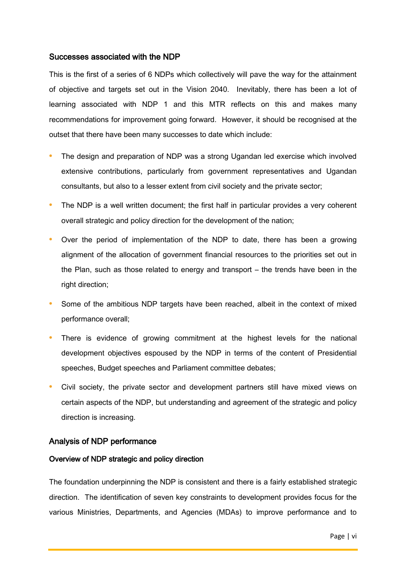#### <span id="page-6-0"></span>Successes associated with the NDP

This is the first of a series of 6 NDPs which collectively will pave the way for the attainment of objective and targets set out in the Vision 2040. Inevitably, there has been a lot of learning associated with NDP 1 and this MTR reflects on this and makes many recommendations for improvement going forward. However, it should be recognised at the outset that there have been many successes to date which include:

- **•** The design and preparation of NDP was a strong Ugandan led exercise which involved extensive contributions, particularly from government representatives and Ugandan consultants, but also to a lesser extent from civil society and the private sector;
- **•** The NDP is a well written document; the first half in particular provides a very coherent overall strategic and policy direction for the development of the nation;
- **•** Over the period of implementation of the NDP to date, there has been a growing alignment of the allocation of government financial resources to the priorities set out in the Plan, such as those related to energy and transport – the trends have been in the right direction;
- **•** Some of the ambitious NDP targets have been reached, albeit in the context of mixed performance overall;
- There is evidence of growing commitment at the highest levels for the national development objectives espoused by the NDP in terms of the content of Presidential speeches, Budget speeches and Parliament committee debates;
- **•** Civil society, the private sector and development partners still have mixed views on certain aspects of the NDP, but understanding and agreement of the strategic and policy direction is increasing.

#### <span id="page-6-1"></span>Analysis of NDP performance

#### Overview of NDP strategic and policy direction

The foundation underpinning the NDP is consistent and there is a fairly established strategic direction. The identification of seven key constraints to development provides focus for the various Ministries, Departments, and Agencies (MDAs) to improve performance and to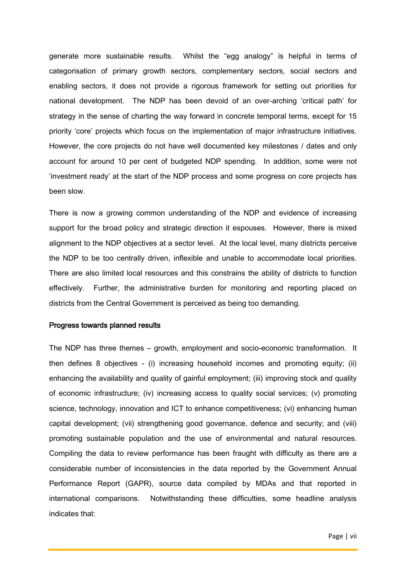generate more sustainable results. Whilst the "egg analogy" is helpful in terms of categorisation of primary growth sectors, complementary sectors, social sectors and enabling sectors, it does not provide a rigorous framework for setting out priorities for national development. The NDP has been devoid of an over-arching 'critical path' for strategy in the sense of charting the way forward in concrete temporal terms, except for 15 priority 'core' projects which focus on the implementation of major infrastructure initiatives. However, the core projects do not have well documented key milestones / dates and only account for around 10 per cent of budgeted NDP spending. In addition, some were not 'investment ready' at the start of the NDP process and some progress on core projects has been slow.

There is now a growing common understanding of the NDP and evidence of increasing support for the broad policy and strategic direction it espouses. However, there is mixed alignment to the NDP objectives at a sector level. At the local level, many districts perceive the NDP to be too centrally driven, inflexible and unable to accommodate local priorities. There are also limited local resources and this constrains the ability of districts to function effectively. Further, the administrative burden for monitoring and reporting placed on districts from the Central Government is perceived as being too demanding.

#### Progress towards planned results

The NDP has three themes – growth, employment and socio-economic transformation. It then defines 8 objectives - (i) increasing household incomes and promoting equity; (ii) enhancing the availability and quality of gainful employment; (iii) improving stock and quality of economic infrastructure; (iv) increasing access to quality social services; (v) promoting science, technology, innovation and ICT to enhance competitiveness; (vi) enhancing human capital development; (vii) strengthening good governance, defence and security; and (viii) promoting sustainable population and the use of environmental and natural resources. Compiling the data to review performance has been fraught with difficulty as there are a considerable number of inconsistencies in the data reported by the Government Annual Performance Report (GAPR), source data compiled by MDAs and that reported in international comparisons. Notwithstanding these difficulties, some headline analysis indicates that: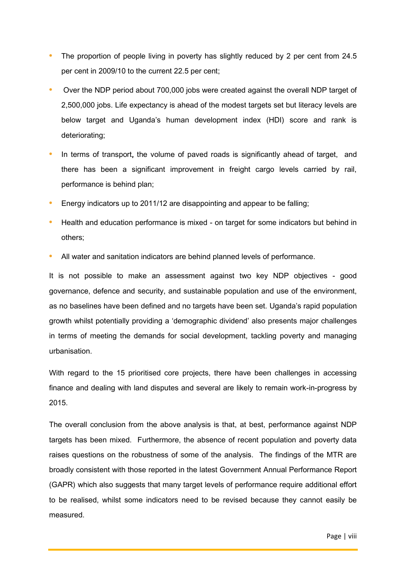- The proportion of people living in poverty has slightly reduced by 2 per cent from 24.5 per cent in 2009/10 to the current 22.5 per cent;
- **•** Over the NDP period about 700,000 jobs were created against the overall NDP target of 2,500,000 jobs. Life expectancy is ahead of the modest targets set but literacy levels are below target and Uganda's human development index (HDI) score and rank is deteriorating;
- **•** In terms of transport, the volume of paved roads is significantly ahead of target, and there has been a significant improvement in freight cargo levels carried by rail, performance is behind plan;
- **•** Energy indicators up to 2011/12 are disappointing and appear to be falling;
- **•** Health and education performance is mixed on target for some indicators but behind in others;
- **•** All water and sanitation indicators are behind planned levels of performance.

It is not possible to make an assessment against two key NDP objectives - good governance, defence and security, and sustainable population and use of the environment, as no baselines have been defined and no targets have been set. Uganda's rapid population growth whilst potentially providing a 'demographic dividend' also presents major challenges in terms of meeting the demands for social development, tackling poverty and managing urbanisation.

With regard to the 15 prioritised core projects, there have been challenges in accessing finance and dealing with land disputes and several are likely to remain work-in-progress by 2015.

The overall conclusion from the above analysis is that, at best, performance against NDP targets has been mixed. Furthermore, the absence of recent population and poverty data raises questions on the robustness of some of the analysis. The findings of the MTR are broadly consistent with those reported in the latest Government Annual Performance Report (GAPR) which also suggests that many target levels of performance require additional effort to be realised, whilst some indicators need to be revised because they cannot easily be measured.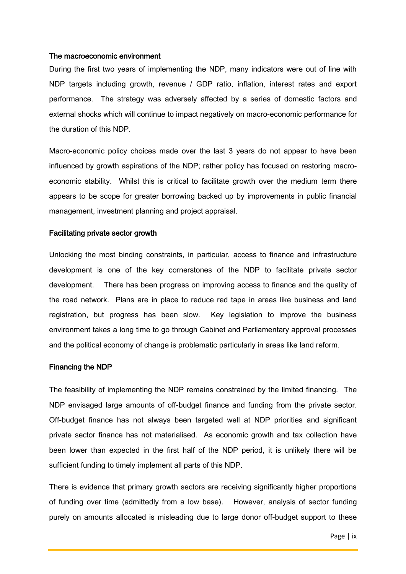#### The macroeconomic environment

During the first two years of implementing the NDP, many indicators were out of line with NDP targets including growth, revenue / GDP ratio, inflation, interest rates and export performance. The strategy was adversely affected by a series of domestic factors and external shocks which will continue to impact negatively on macro-economic performance for the duration of this NDP.

Macro-economic policy choices made over the last 3 years do not appear to have been influenced by growth aspirations of the NDP; rather policy has focused on restoring macroeconomic stability. Whilst this is critical to facilitate growth over the medium term there appears to be scope for greater borrowing backed up by improvements in public financial management, investment planning and project appraisal.

#### Facilitating private sector growth

Unlocking the most binding constraints, in particular, access to finance and infrastructure development is one of the key cornerstones of the NDP to facilitate private sector development. There has been progress on improving access to finance and the quality of the road network. Plans are in place to reduce red tape in areas like business and land registration, but progress has been slow. Key legislation to improve the business environment takes a long time to go through Cabinet and Parliamentary approval processes and the political economy of change is problematic particularly in areas like land reform.

#### Financing the NDP

The feasibility of implementing the NDP remains constrained by the limited financing. The NDP envisaged large amounts of off-budget finance and funding from the private sector. Off-budget finance has not always been targeted well at NDP priorities and significant private sector finance has not materialised. As economic growth and tax collection have been lower than expected in the first half of the NDP period, it is unlikely there will be sufficient funding to timely implement all parts of this NDP.

There is evidence that primary growth sectors are receiving significantly higher proportions of funding over time (admittedly from a low base). However, analysis of sector funding purely on amounts allocated is misleading due to large donor off-budget support to these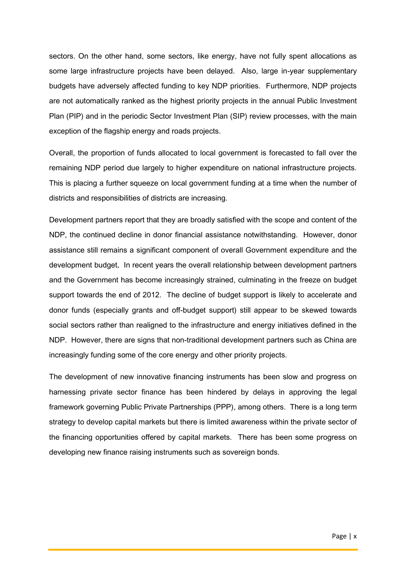sectors. On the other hand, some sectors, like energy, have not fully spent allocations as some large infrastructure projects have been delayed. Also, large in-year supplementary budgets have adversely affected funding to key NDP priorities. Furthermore, NDP projects are not automatically ranked as the highest priority projects in the annual Public Investment Plan (PIP) and in the periodic Sector Investment Plan (SIP) review processes, with the main exception of the flagship energy and roads projects.

Overall, the proportion of funds allocated to local government is forecasted to fall over the remaining NDP period due largely to higher expenditure on national infrastructure projects. This is placing a further squeeze on local government funding at a time when the number of districts and responsibilities of districts are increasing.

Development partners report that they are broadly satisfied with the scope and content of the NDP, the continued decline in donor financial assistance notwithstanding. However, donor assistance still remains a significant component of overall Government expenditure and the development budget. In recent years the overall relationship between development partners and the Government has become increasingly strained, culminating in the freeze on budget support towards the end of 2012. The decline of budget support is likely to accelerate and donor funds (especially grants and off-budget support) still appear to be skewed towards social sectors rather than realigned to the infrastructure and energy initiatives defined in the NDP. However, there are signs that non-traditional development partners such as China are increasingly funding some of the core energy and other priority projects.

The development of new innovative financing instruments has been slow and progress on harnessing private sector finance has been hindered by delays in approving the legal framework governing Public Private Partnerships (PPP), among others. There is a long term strategy to develop capital markets but there is limited awareness within the private sector of the financing opportunities offered by capital markets. There has been some progress on developing new finance raising instruments such as sovereign bonds.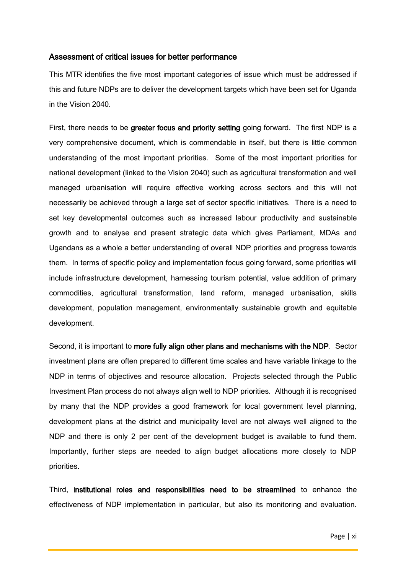#### <span id="page-11-0"></span>Assessment of critical issues for better performance

This MTR identifies the five most important categories of issue which must be addressed if this and future NDPs are to deliver the development targets which have been set for Uganda in the Vision 2040.

First, there needs to be greater focus and priority setting going forward. The first NDP is a very comprehensive document, which is commendable in itself, but there is little common understanding of the most important priorities. Some of the most important priorities for national development (linked to the Vision 2040) such as agricultural transformation and well managed urbanisation will require effective working across sectors and this will not necessarily be achieved through a large set of sector specific initiatives. There is a need to set key developmental outcomes such as increased labour productivity and sustainable growth and to analyse and present strategic data which gives Parliament, MDAs and Ugandans as a whole a better understanding of overall NDP priorities and progress towards them. In terms of specific policy and implementation focus going forward, some priorities will include infrastructure development, harnessing tourism potential, value addition of primary commodities, agricultural transformation, land reform, managed urbanisation, skills development, population management, environmentally sustainable growth and equitable development.

Second, it is important to more fully align other plans and mechanisms with the NDP. Sector investment plans are often prepared to different time scales and have variable linkage to the NDP in terms of objectives and resource allocation. Projects selected through the Public Investment Plan process do not always align well to NDP priorities. Although it is recognised by many that the NDP provides a good framework for local government level planning, development plans at the district and municipality level are not always well aligned to the NDP and there is only 2 per cent of the development budget is available to fund them. Importantly, further steps are needed to align budget allocations more closely to NDP priorities.

Third, institutional roles and responsibilities need to be streamlined to enhance the effectiveness of NDP implementation in particular, but also its monitoring and evaluation.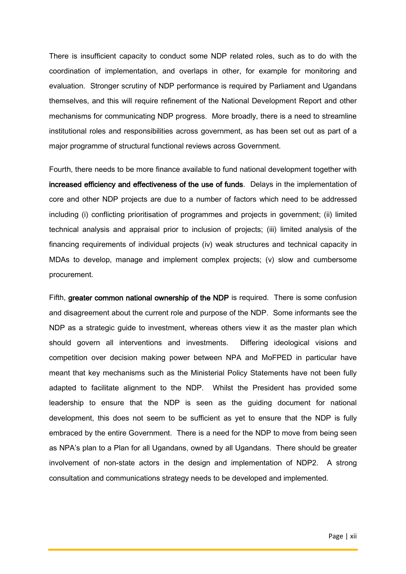There is insufficient capacity to conduct some NDP related roles, such as to do with the coordination of implementation, and overlaps in other, for example for monitoring and evaluation. Stronger scrutiny of NDP performance is required by Parliament and Ugandans themselves, and this will require refinement of the National Development Report and other mechanisms for communicating NDP progress. More broadly, there is a need to streamline institutional roles and responsibilities across government, as has been set out as part of a major programme of structural functional reviews across Government.

Fourth, there needs to be more finance available to fund national development together with increased efficiency and effectiveness of the use of funds. Delays in the implementation of core and other NDP projects are due to a number of factors which need to be addressed including (i) conflicting prioritisation of programmes and projects in government; (ii) limited technical analysis and appraisal prior to inclusion of projects; (iii) limited analysis of the financing requirements of individual projects (iv) weak structures and technical capacity in MDAs to develop, manage and implement complex projects; (v) slow and cumbersome procurement.

Fifth, greater common national ownership of the NDP is required. There is some confusion and disagreement about the current role and purpose of the NDP. Some informants see the NDP as a strategic guide to investment, whereas others view it as the master plan which should govern all interventions and investments. Differing ideological visions and competition over decision making power between NPA and MoFPED in particular have meant that key mechanisms such as the Ministerial Policy Statements have not been fully adapted to facilitate alignment to the NDP. Whilst the President has provided some leadership to ensure that the NDP is seen as the guiding document for national development, this does not seem to be sufficient as yet to ensure that the NDP is fully embraced by the entire Government. There is a need for the NDP to move from being seen as NPA's plan to a Plan for all Ugandans, owned by all Ugandans. There should be greater involvement of non-state actors in the design and implementation of NDP2. A strong consultation and communications strategy needs to be developed and implemented.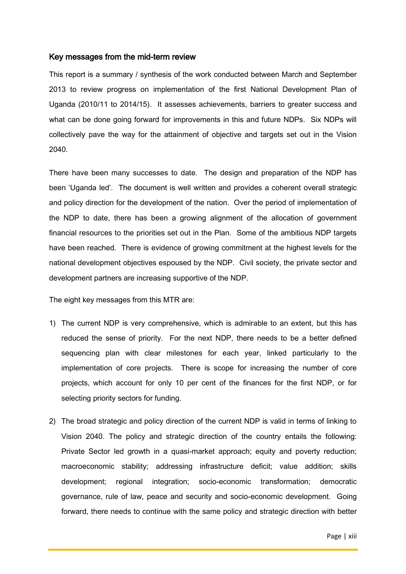#### <span id="page-13-0"></span>Key messages from the mid-term review

This report is a summary / synthesis of the work conducted between March and September 2013 to review progress on implementation of the first National Development Plan of Uganda (2010/11 to 2014/15). It assesses achievements, barriers to greater success and what can be done going forward for improvements in this and future NDPs. Six NDPs will collectively pave the way for the attainment of objective and targets set out in the Vision 2040.

There have been many successes to date. The design and preparation of the NDP has been 'Uganda led'. The document is well written and provides a coherent overall strategic and policy direction for the development of the nation. Over the period of implementation of the NDP to date, there has been a growing alignment of the allocation of government financial resources to the priorities set out in the Plan. Some of the ambitious NDP targets have been reached. There is evidence of growing commitment at the highest levels for the national development objectives espoused by the NDP. Civil society, the private sector and development partners are increasing supportive of the NDP.

The eight key messages from this MTR are:

- 1) The current NDP is very comprehensive, which is admirable to an extent, but this has reduced the sense of priority. For the next NDP, there needs to be a better defined sequencing plan with clear milestones for each year, linked particularly to the implementation of core projects. There is scope for increasing the number of core projects, which account for only 10 per cent of the finances for the first NDP, or for selecting priority sectors for funding.
- 2) The broad strategic and policy direction of the current NDP is valid in terms of linking to Vision 2040. The policy and strategic direction of the country entails the following: Private Sector led growth in a quasi-market approach; equity and poverty reduction; macroeconomic stability; addressing infrastructure deficit; value addition; skills development; regional integration; socio-economic transformation; democratic governance, rule of law, peace and security and socio-economic development. Going forward, there needs to continue with the same policy and strategic direction with better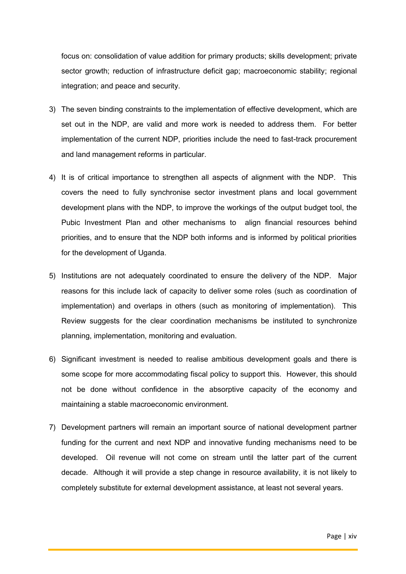focus on: consolidation of value addition for primary products; skills development; private sector growth; reduction of infrastructure deficit gap; macroeconomic stability; regional integration; and peace and security.

- 3) The seven binding constraints to the implementation of effective development, which are set out in the NDP, are valid and more work is needed to address them. For better implementation of the current NDP, priorities include the need to fast-track procurement and land management reforms in particular.
- 4) It is of critical importance to strengthen all aspects of alignment with the NDP. This covers the need to fully synchronise sector investment plans and local government development plans with the NDP, to improve the workings of the output budget tool, the Pubic Investment Plan and other mechanisms to align financial resources behind priorities, and to ensure that the NDP both informs and is informed by political priorities for the development of Uganda.
- 5) Institutions are not adequately coordinated to ensure the delivery of the NDP. Major reasons for this include lack of capacity to deliver some roles (such as coordination of implementation) and overlaps in others (such as monitoring of implementation). This Review suggests for the clear coordination mechanisms be instituted to synchronize planning, implementation, monitoring and evaluation.
- 6) Significant investment is needed to realise ambitious development goals and there is some scope for more accommodating fiscal policy to support this. However, this should not be done without confidence in the absorptive capacity of the economy and maintaining a stable macroeconomic environment.
- 7) Development partners will remain an important source of national development partner funding for the current and next NDP and innovative funding mechanisms need to be developed. Oil revenue will not come on stream until the latter part of the current decade. Although it will provide a step change in resource availability, it is not likely to completely substitute for external development assistance, at least not several years.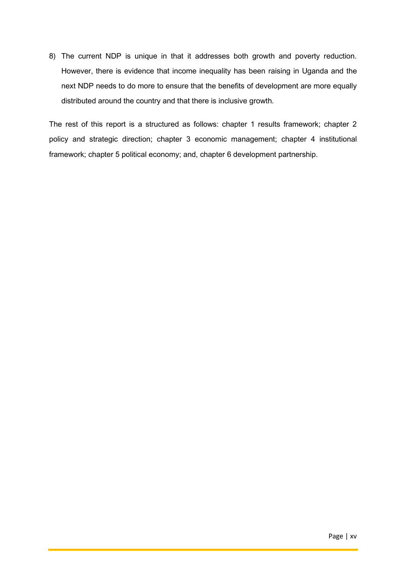8) The current NDP is unique in that it addresses both growth and poverty reduction. However, there is evidence that income inequality has been raising in Uganda and the next NDP needs to do more to ensure that the benefits of development are more equally distributed around the country and that there is inclusive growth.

The rest of this report is a structured as follows: chapter 1 results framework; chapter 2 policy and strategic direction; chapter 3 economic management; chapter 4 institutional framework; chapter 5 political economy; and, chapter 6 development partnership.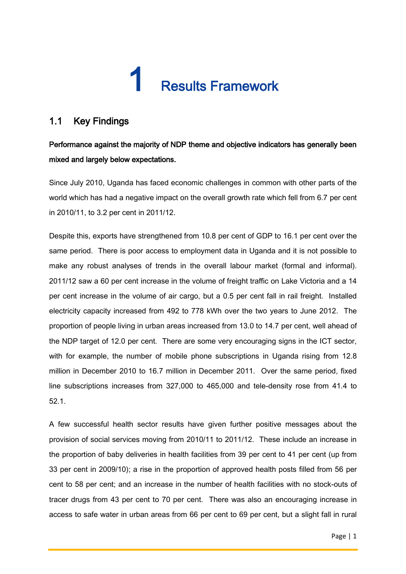# **Results Framework**

# <span id="page-16-1"></span><span id="page-16-0"></span>1.1 Key Findings

# Performance against the majority of NDP theme and objective indicators has generally been mixed and largely below expectations.

Since July 2010, Uganda has faced economic challenges in common with other parts of the world which has had a negative impact on the overall growth rate which fell from 6.7 per cent in 2010/11, to 3.2 per cent in 2011/12.

Despite this, exports have strengthened from 10.8 per cent of GDP to 16.1 per cent over the same period. There is poor access to employment data in Uganda and it is not possible to make any robust analyses of trends in the overall labour market (formal and informal). 2011/12 saw a 60 per cent increase in the volume of freight traffic on Lake Victoria and a 14 per cent increase in the volume of air cargo, but a 0.5 per cent fall in rail freight. Installed electricity capacity increased from 492 to 778 kWh over the two years to June 2012. The proportion of people living in urban areas increased from 13.0 to 14.7 per cent, well ahead of the NDP target of 12.0 per cent. There are some very encouraging signs in the ICT sector, with for example, the number of mobile phone subscriptions in Uganda rising from 12.8 million in December 2010 to 16.7 million in December 2011. Over the same period, fixed line subscriptions increases from 327,000 to 465,000 and tele-density rose from 41.4 to 52.1.

A few successful health sector results have given further positive messages about the provision of social services moving from 2010/11 to 2011/12. These include an increase in the proportion of baby deliveries in health facilities from 39 per cent to 41 per cent (up from 33 per cent in 2009/10); a rise in the proportion of approved health posts filled from 56 per cent to 58 per cent; and an increase in the number of health facilities with no stock-outs of tracer drugs from 43 per cent to 70 per cent. There was also an encouraging increase in access to safe water in urban areas from 66 per cent to 69 per cent, but a slight fall in rural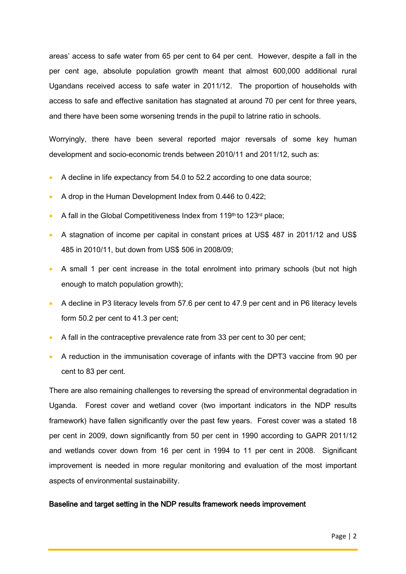areas' access to safe water from 65 per cent to 64 per cent. However, despite a fall in the per cent age, absolute population growth meant that almost 600,000 additional rural Ugandans received access to safe water in 2011/12. The proportion of households with access to safe and effective sanitation has stagnated at around 70 per cent for three years, and there have been some worsening trends in the pupil to latrine ratio in schools.

Worryingly, there have been several reported major reversals of some key human development and socio-economic trends between 2010/11 and 2011/12, such as:

- A decline in life expectancy from 54.0 to 52.2 according to one data source;
- A drop in the Human Development Index from 0.446 to 0.422;
- A fall in the Global Competitiveness Index from 119<sup>th</sup> to 123<sup>rd</sup> place;
- A stagnation of income per capital in constant prices at US\$ 487 in 2011/12 and US\$ 485 in 2010/11, but down from US\$ 506 in 2008/09;
- A small 1 per cent increase in the total enrolment into primary schools (but not high enough to match population growth);
- A decline in P3 literacy levels from 57.6 per cent to 47.9 per cent and in P6 literacy levels form 50.2 per cent to 41.3 per cent;
- A fall in the contraceptive prevalence rate from 33 per cent to 30 per cent;
- A reduction in the immunisation coverage of infants with the DPT3 vaccine from 90 per cent to 83 per cent.

There are also remaining challenges to reversing the spread of environmental degradation in Uganda. Forest cover and wetland cover (two important indicators in the NDP results framework) have fallen significantly over the past few years. Forest cover was a stated 18 per cent in 2009, down significantly from 50 per cent in 1990 according to GAPR 2011/12 and wetlands cover down from 16 per cent in 1994 to 11 per cent in 2008. Significant improvement is needed in more regular monitoring and evaluation of the most important aspects of environmental sustainability.

#### Baseline and target setting in the NDP results framework needs improvement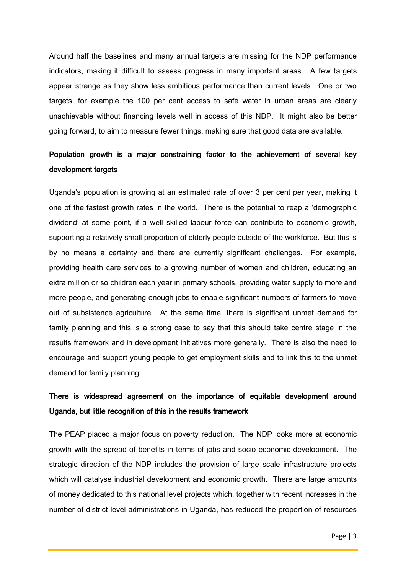Around half the baselines and many annual targets are missing for the NDP performance indicators, making it difficult to assess progress in many important areas. A few targets appear strange as they show less ambitious performance than current levels. One or two targets, for example the 100 per cent access to safe water in urban areas are clearly unachievable without financing levels well in access of this NDP. It might also be better going forward, to aim to measure fewer things, making sure that good data are available.

# Population growth is a major constraining factor to the achievement of several key development targets

Uganda's population is growing at an estimated rate of over 3 per cent per year, making it one of the fastest growth rates in the world. There is the potential to reap a 'demographic dividend' at some point, if a well skilled labour force can contribute to economic growth, supporting a relatively small proportion of elderly people outside of the workforce. But this is by no means a certainty and there are currently significant challenges. For example, providing health care services to a growing number of women and children, educating an extra million or so children each year in primary schools, providing water supply to more and more people, and generating enough jobs to enable significant numbers of farmers to move out of subsistence agriculture. At the same time, there is significant unmet demand for family planning and this is a strong case to say that this should take centre stage in the results framework and in development initiatives more generally. There is also the need to encourage and support young people to get employment skills and to link this to the unmet demand for family planning.

# There is widespread agreement on the importance of equitable development around Uganda, but little recognition of this in the results framework

The PEAP placed a major focus on poverty reduction. The NDP looks more at economic growth with the spread of benefits in terms of jobs and socio-economic development. The strategic direction of the NDP includes the provision of large scale infrastructure projects which will catalyse industrial development and economic growth. There are large amounts of money dedicated to this national level projects which, together with recent increases in the number of district level administrations in Uganda, has reduced the proportion of resources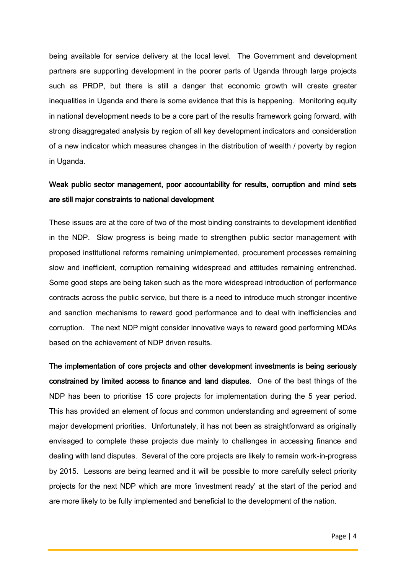being available for service delivery at the local level. The Government and development partners are supporting development in the poorer parts of Uganda through large projects such as PRDP, but there is still a danger that economic growth will create greater inequalities in Uganda and there is some evidence that this is happening. Monitoring equity in national development needs to be a core part of the results framework going forward, with strong disaggregated analysis by region of all key development indicators and consideration of a new indicator which measures changes in the distribution of wealth / poverty by region in Uganda.

# Weak public sector management, poor accountability for results, corruption and mind sets are still major constraints to national development

These issues are at the core of two of the most binding constraints to development identified in the NDP. Slow progress is being made to strengthen public sector management with proposed institutional reforms remaining unimplemented, procurement processes remaining slow and inefficient, corruption remaining widespread and attitudes remaining entrenched. Some good steps are being taken such as the more widespread introduction of performance contracts across the public service, but there is a need to introduce much stronger incentive and sanction mechanisms to reward good performance and to deal with inefficiencies and corruption. The next NDP might consider innovative ways to reward good performing MDAs based on the achievement of NDP driven results.

The implementation of core projects and other development investments is being seriously constrained by limited access to finance and land disputes. One of the best things of the NDP has been to prioritise 15 core projects for implementation during the 5 year period. This has provided an element of focus and common understanding and agreement of some major development priorities. Unfortunately, it has not been as straightforward as originally envisaged to complete these projects due mainly to challenges in accessing finance and dealing with land disputes. Several of the core projects are likely to remain work-in-progress by 2015. Lessons are being learned and it will be possible to more carefully select priority projects for the next NDP which are more 'investment ready' at the start of the period and are more likely to be fully implemented and beneficial to the development of the nation.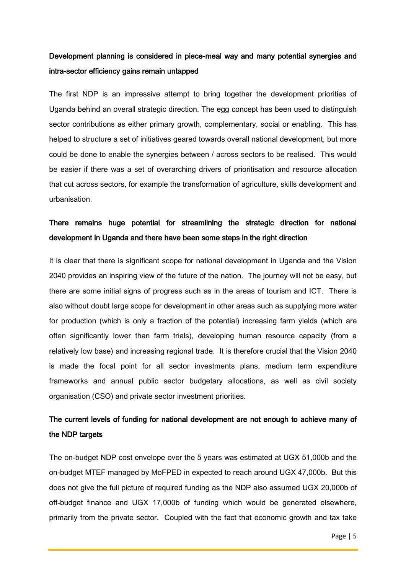# Development planning is considered in piece-meal way and many potential synergies and intra-sector efficiency gains remain untapped

The first NDP is an impressive attempt to bring together the development priorities of Uganda behind an overall strategic direction. The egg concept has been used to distinguish sector contributions as either primary growth, complementary, social or enabling. This has helped to structure a set of initiatives geared towards overall national development, but more could be done to enable the synergies between / across sectors to be realised. This would be easier if there was a set of overarching drivers of prioritisation and resource allocation that cut across sectors, for example the transformation of agriculture, skills development and urbanisation.

# There remains huge potential for streamlining the strategic direction for national development in Uganda and there have been some steps in the right direction

It is clear that there is significant scope for national development in Uganda and the Vision 2040 provides an inspiring view of the future of the nation. The journey will not be easy, but there are some initial signs of progress such as in the areas of tourism and ICT. There is also without doubt large scope for development in other areas such as supplying more water for production (which is only a fraction of the potential) increasing farm yields (which are often significantly lower than farm trials), developing human resource capacity (from a relatively low base) and increasing regional trade. It is therefore crucial that the Vision 2040 is made the focal point for all sector investments plans, medium term expenditure frameworks and annual public sector budgetary allocations, as well as civil society organisation (CSO) and private sector investment priorities.

# The current levels of funding for national development are not enough to achieve many of the NDP targets

The on-budget NDP cost envelope over the 5 years was estimated at UGX 51,000b and the on-budget MTEF managed by MoFPED in expected to reach around UGX 47,000b. But this does not give the full picture of required funding as the NDP also assumed UGX 20,000b of off-budget finance and UGX 17,000b of funding which would be generated elsewhere, primarily from the private sector. Coupled with the fact that economic growth and tax take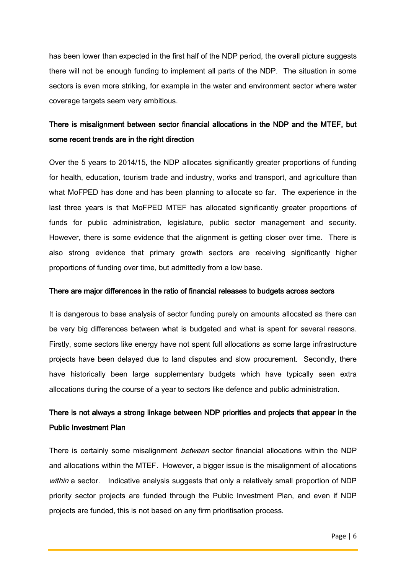has been lower than expected in the first half of the NDP period, the overall picture suggests there will not be enough funding to implement all parts of the NDP. The situation in some sectors is even more striking, for example in the water and environment sector where water coverage targets seem very ambitious.

# There is misalignment between sector financial allocations in the NDP and the MTEF, but some recent trends are in the right direction

Over the 5 years to 2014/15, the NDP allocates significantly greater proportions of funding for health, education, tourism trade and industry, works and transport, and agriculture than what MoFPED has done and has been planning to allocate so far. The experience in the last three years is that MoFPED MTEF has allocated significantly greater proportions of funds for public administration, legislature, public sector management and security. However, there is some evidence that the alignment is getting closer over time. There is also strong evidence that primary growth sectors are receiving significantly higher proportions of funding over time, but admittedly from a low base.

#### There are major differences in the ratio of financial releases to budgets across sectors

It is dangerous to base analysis of sector funding purely on amounts allocated as there can be very big differences between what is budgeted and what is spent for several reasons. Firstly, some sectors like energy have not spent full allocations as some large infrastructure projects have been delayed due to land disputes and slow procurement. Secondly, there have historically been large supplementary budgets which have typically seen extra allocations during the course of a year to sectors like defence and public administration.

# There is not always a strong linkage between NDP priorities and projects that appear in the Public Investment Plan

There is certainly some misalignment *between* sector financial allocations within the NDP and allocations within the MTEF. However, a bigger issue is the misalignment of allocations within a sector. Indicative analysis suggests that only a relatively small proportion of NDP priority sector projects are funded through the Public Investment Plan, and even if NDP projects are funded, this is not based on any firm prioritisation process.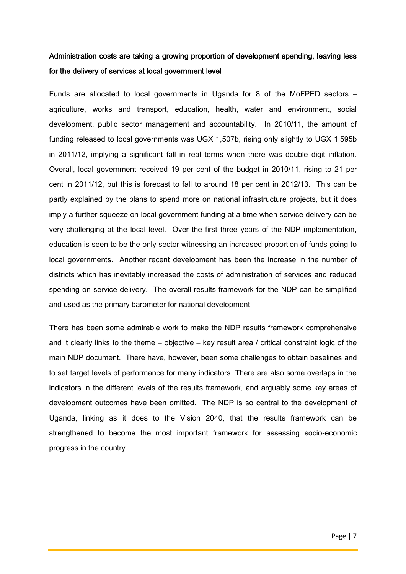# Administration costs are taking a growing proportion of development spending, leaving less for the delivery of services at local government level

Funds are allocated to local governments in Uganda for 8 of the MoFPED sectors – agriculture, works and transport, education, health, water and environment, social development, public sector management and accountability. In 2010/11, the amount of funding released to local governments was UGX 1,507b, rising only slightly to UGX 1,595b in 2011/12, implying a significant fall in real terms when there was double digit inflation. Overall, local government received 19 per cent of the budget in 2010/11, rising to 21 per cent in 2011/12, but this is forecast to fall to around 18 per cent in 2012/13. This can be partly explained by the plans to spend more on national infrastructure projects, but it does imply a further squeeze on local government funding at a time when service delivery can be very challenging at the local level. Over the first three years of the NDP implementation, education is seen to be the only sector witnessing an increased proportion of funds going to local governments. Another recent development has been the increase in the number of districts which has inevitably increased the costs of administration of services and reduced spending on service delivery. The overall results framework for the NDP can be simplified and used as the primary barometer for national development

There has been some admirable work to make the NDP results framework comprehensive and it clearly links to the theme – objective – key result area / critical constraint logic of the main NDP document. There have, however, been some challenges to obtain baselines and to set target levels of performance for many indicators. There are also some overlaps in the indicators in the different levels of the results framework, and arguably some key areas of development outcomes have been omitted. The NDP is so central to the development of Uganda, linking as it does to the Vision 2040, that the results framework can be strengthened to become the most important framework for assessing socio-economic progress in the country.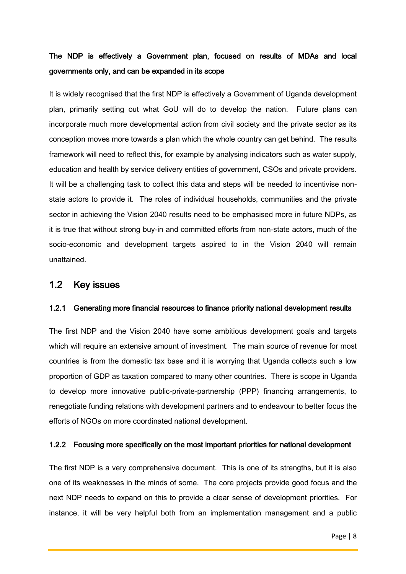# The NDP is effectively a Government plan, focused on results of MDAs and local governments only, and can be expanded in its scope

It is widely recognised that the first NDP is effectively a Government of Uganda development plan, primarily setting out what GoU will do to develop the nation. Future plans can incorporate much more developmental action from civil society and the private sector as its conception moves more towards a plan which the whole country can get behind. The results framework will need to reflect this, for example by analysing indicators such as water supply, education and health by service delivery entities of government, CSOs and private providers. It will be a challenging task to collect this data and steps will be needed to incentivise nonstate actors to provide it. The roles of individual households, communities and the private sector in achieving the Vision 2040 results need to be emphasised more in future NDPs, as it is true that without strong buy-in and committed efforts from non-state actors, much of the socio-economic and development targets aspired to in the Vision 2040 will remain unattained.

### <span id="page-23-0"></span>1.2 Key issues

#### 1.2.1 Generating more financial resources to finance priority national development results

The first NDP and the Vision 2040 have some ambitious development goals and targets which will require an extensive amount of investment. The main source of revenue for most countries is from the domestic tax base and it is worrying that Uganda collects such a low proportion of GDP as taxation compared to many other countries. There is scope in Uganda to develop more innovative public-private-partnership (PPP) financing arrangements, to renegotiate funding relations with development partners and to endeavour to better focus the efforts of NGOs on more coordinated national development.

#### 1.2.2 Focusing more specifically on the most important priorities for national development

The first NDP is a very comprehensive document. This is one of its strengths, but it is also one of its weaknesses in the minds of some. The core projects provide good focus and the next NDP needs to expand on this to provide a clear sense of development priorities. For instance, it will be very helpful both from an implementation management and a public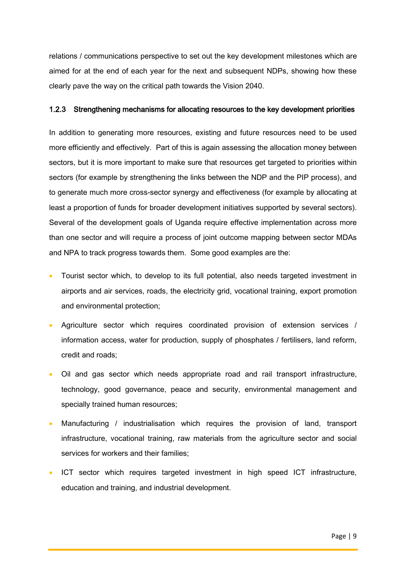relations / communications perspective to set out the key development milestones which are aimed for at the end of each year for the next and subsequent NDPs, showing how these clearly pave the way on the critical path towards the Vision 2040.

#### 1.2.3 Strengthening mechanisms for allocating resources to the key development priorities

In addition to generating more resources, existing and future resources need to be used more efficiently and effectively. Part of this is again assessing the allocation money between sectors, but it is more important to make sure that resources get targeted to priorities within sectors (for example by strengthening the links between the NDP and the PIP process), and to generate much more cross-sector synergy and effectiveness (for example by allocating at least a proportion of funds for broader development initiatives supported by several sectors). Several of the development goals of Uganda require effective implementation across more than one sector and will require a process of joint outcome mapping between sector MDAs and NPA to track progress towards them. Some good examples are the:

- Tourist sector which, to develop to its full potential, also needs targeted investment in airports and air services, roads, the electricity grid, vocational training, export promotion and environmental protection;
- Agriculture sector which requires coordinated provision of extension services / information access, water for production, supply of phosphates / fertilisers, land reform, credit and roads;
- Oil and gas sector which needs appropriate road and rail transport infrastructure, technology, good governance, peace and security, environmental management and specially trained human resources;
- Manufacturing / industrialisation which requires the provision of land, transport infrastructure, vocational training, raw materials from the agriculture sector and social services for workers and their families;
- ICT sector which requires targeted investment in high speed ICT infrastructure, education and training, and industrial development.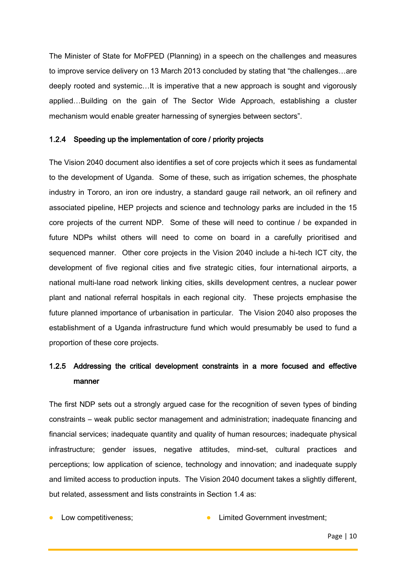The Minister of State for MoFPED (Planning) in a speech on the challenges and measures to improve service delivery on 13 March 2013 concluded by stating that "the challenges…are deeply rooted and systemic…It is imperative that a new approach is sought and vigorously applied…Building on the gain of The Sector Wide Approach, establishing a cluster mechanism would enable greater harnessing of synergies between sectors".

#### 1.2.4 Speeding up the implementation of core / priority projects

The Vision 2040 document also identifies a set of core projects which it sees as fundamental to the development of Uganda. Some of these, such as irrigation schemes, the phosphate industry in Tororo, an iron ore industry, a standard gauge rail network, an oil refinery and associated pipeline, HEP projects and science and technology parks are included in the 15 core projects of the current NDP. Some of these will need to continue / be expanded in future NDPs whilst others will need to come on board in a carefully prioritised and sequenced manner. Other core projects in the Vision 2040 include a hi-tech ICT city, the development of five regional cities and five strategic cities, four international airports, a national multi-lane road network linking cities, skills development centres, a nuclear power plant and national referral hospitals in each regional city. These projects emphasise the future planned importance of urbanisation in particular. The Vision 2040 also proposes the establishment of a Uganda infrastructure fund which would presumably be used to fund a proportion of these core projects.

# 1.2.5 Addressing the critical development constraints in a more focused and effective manner

The first NDP sets out a strongly argued case for the recognition of seven types of binding constraints – weak public sector management and administration; inadequate financing and financial services; inadequate quantity and quality of human resources; inadequate physical infrastructure; gender issues, negative attitudes, mind-set, cultural practices and perceptions; low application of science, technology and innovation; and inadequate supply and limited access to production inputs. The Vision 2040 document takes a slightly different, but related, assessment and lists constraints in Section 1.4 as:

Low competitiveness;  $\qquad \qquad \bullet$  Limited Government investment;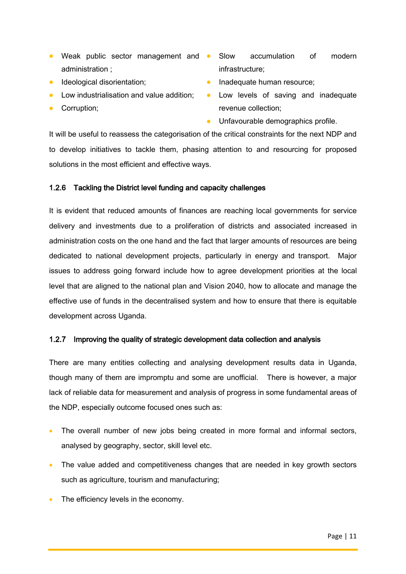- Weak public sector management and Slow administration ;
- **Ideological disorientation;**
- Low industrialisation and value addition;
- Corruption;
- accumulation of modern infrastructure;
- **Inadequate human resource;**
- Low levels of saving and inadequate revenue collection;
- **•** Unfavourable demographics profile.

It will be useful to reassess the categorisation of the critical constraints for the next NDP and to develop initiatives to tackle them, phasing attention to and resourcing for proposed solutions in the most efficient and effective ways.

#### 1.2.6 Tackling the District level funding and capacity challenges

It is evident that reduced amounts of finances are reaching local governments for service delivery and investments due to a proliferation of districts and associated increased in administration costs on the one hand and the fact that larger amounts of resources are being dedicated to national development projects, particularly in energy and transport. Major issues to address going forward include how to agree development priorities at the local level that are aligned to the national plan and Vision 2040, how to allocate and manage the effective use of funds in the decentralised system and how to ensure that there is equitable development across Uganda.

#### 1.2.7 Improving the quality of strategic development data collection and analysis

There are many entities collecting and analysing development results data in Uganda, though many of them are impromptu and some are unofficial. There is however, a major lack of reliable data for measurement and analysis of progress in some fundamental areas of the NDP, especially outcome focused ones such as:

- The overall number of new jobs being created in more formal and informal sectors, analysed by geography, sector, skill level etc.
- The value added and competitiveness changes that are needed in key growth sectors such as agriculture, tourism and manufacturing;
- The efficiency levels in the economy.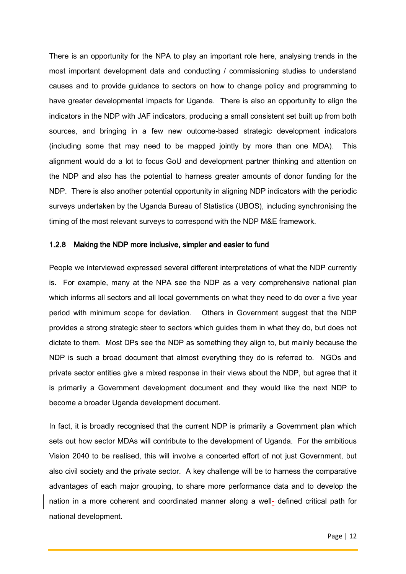There is an opportunity for the NPA to play an important role here, analysing trends in the most important development data and conducting / commissioning studies to understand causes and to provide guidance to sectors on how to change policy and programming to have greater developmental impacts for Uganda. There is also an opportunity to align the indicators in the NDP with JAF indicators, producing a small consistent set built up from both sources, and bringing in a few new outcome-based strategic development indicators (including some that may need to be mapped jointly by more than one MDA). This alignment would do a lot to focus GoU and development partner thinking and attention on the NDP and also has the potential to harness greater amounts of donor funding for the NDP. There is also another potential opportunity in aligning NDP indicators with the periodic surveys undertaken by the Uganda Bureau of Statistics (UBOS), including synchronising the timing of the most relevant surveys to correspond with the NDP M&E framework.

#### 1.2.8 Making the NDP more inclusive, simpler and easier to fund

People we interviewed expressed several different interpretations of what the NDP currently is. For example, many at the NPA see the NDP as a very comprehensive national plan which informs all sectors and all local governments on what they need to do over a five year period with minimum scope for deviation. Others in Government suggest that the NDP provides a strong strategic steer to sectors which guides them in what they do, but does not dictate to them. Most DPs see the NDP as something they align to, but mainly because the NDP is such a broad document that almost everything they do is referred to. NGOs and private sector entities give a mixed response in their views about the NDP, but agree that it is primarily a Government development document and they would like the next NDP to become a broader Uganda development document.

In fact, it is broadly recognised that the current NDP is primarily a Government plan which sets out how sector MDAs will contribute to the development of Uganda. For the ambitious Vision 2040 to be realised, this will involve a concerted effort of not just Government, but also civil society and the private sector. A key challenge will be to harness the comparative advantages of each major grouping, to share more performance data and to develop the nation in a more coherent and coordinated manner along a well- defined critical path for national development.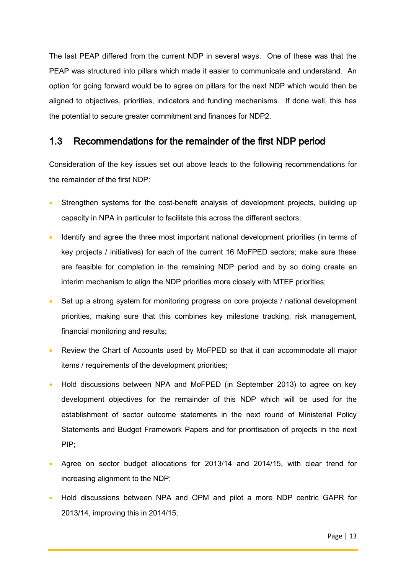The last PEAP differed from the current NDP in several ways. One of these was that the PEAP was structured into pillars which made it easier to communicate and understand. An option for going forward would be to agree on pillars for the next NDP which would then be aligned to objectives, priorities, indicators and funding mechanisms. If done well, this has the potential to secure greater commitment and finances for NDP2.

## <span id="page-28-0"></span>1.3 Recommendations for the remainder of the first NDP period

Consideration of the key issues set out above leads to the following recommendations for the remainder of the first NDP:

- Strengthen systems for the cost-benefit analysis of development projects, building up capacity in NPA in particular to facilitate this across the different sectors;
- Identify and agree the three most important national development priorities (in terms of key projects / initiatives) for each of the current 16 MoFPED sectors; make sure these are feasible for completion in the remaining NDP period and by so doing create an interim mechanism to align the NDP priorities more closely with MTEF priorities;
- Set up a strong system for monitoring progress on core projects / national development priorities, making sure that this combines key milestone tracking, risk management, financial monitoring and results;
- Review the Chart of Accounts used by MoFPED so that it can accommodate all major items / requirements of the development priorities;
- Hold discussions between NPA and MoFPED (in September 2013) to agree on key development objectives for the remainder of this NDP which will be used for the establishment of sector outcome statements in the next round of Ministerial Policy Statements and Budget Framework Papers and for prioritisation of projects in the next PIP;
- Agree on sector budget allocations for 2013/14 and 2014/15, with clear trend for increasing alignment to the NDP;
- Hold discussions between NPA and OPM and pilot a more NDP centric GAPR for 2013/14, improving this in 2014/15;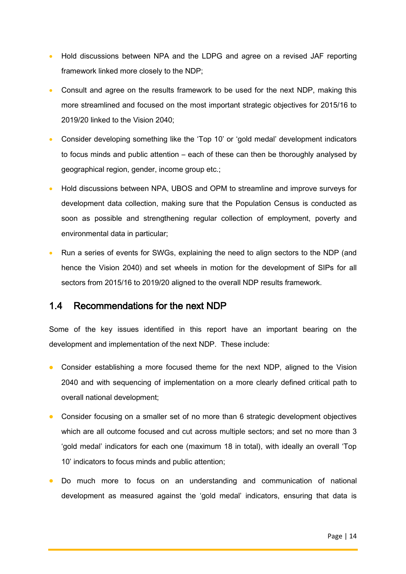- Hold discussions between NPA and the LDPG and agree on a revised JAF reporting framework linked more closely to the NDP;
- Consult and agree on the results framework to be used for the next NDP, making this more streamlined and focused on the most important strategic objectives for 2015/16 to 2019/20 linked to the Vision 2040;
- Consider developing something like the 'Top 10' or 'gold medal' development indicators to focus minds and public attention – each of these can then be thoroughly analysed by geographical region, gender, income group etc.;
- Hold discussions between NPA, UBOS and OPM to streamline and improve surveys for development data collection, making sure that the Population Census is conducted as soon as possible and strengthening regular collection of employment, poverty and environmental data in particular;
- Run a series of events for SWGs, explaining the need to align sectors to the NDP (and hence the Vision 2040) and set wheels in motion for the development of SIPs for all sectors from 2015/16 to 2019/20 aligned to the overall NDP results framework.

### <span id="page-29-0"></span>1.4 Recommendations for the next NDP

Some of the key issues identified in this report have an important bearing on the development and implementation of the next NDP. These include:

- Consider establishing a more focused theme for the next NDP, aligned to the Vision 2040 and with sequencing of implementation on a more clearly defined critical path to overall national development;
- Consider focusing on a smaller set of no more than 6 strategic development objectives which are all outcome focused and cut across multiple sectors; and set no more than 3 'gold medal' indicators for each one (maximum 18 in total), with ideally an overall 'Top 10' indicators to focus minds and public attention;
- Do much more to focus on an understanding and communication of national development as measured against the 'gold medal' indicators, ensuring that data is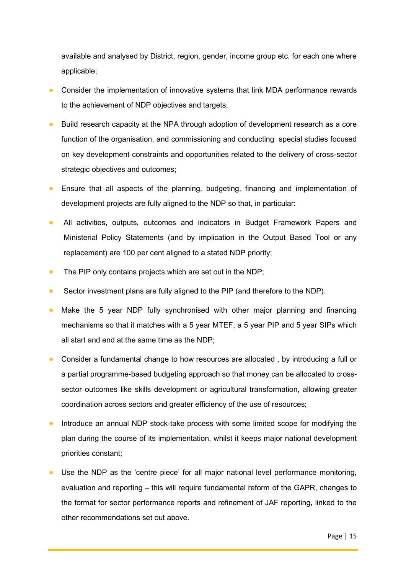available and analysed by District, region, gender, income group etc. for each one where applicable;

- Consider the implementation of innovative systems that link MDA performance rewards to the achievement of NDP objectives and targets;
- Build research capacity at the NPA through adoption of development research as a core function of the organisation, and commissioning and conducting special studies focused on key development constraints and opportunities related to the delivery of cross-sector strategic objectives and outcomes;
- Ensure that all aspects of the planning, budgeting, financing and implementation of development projects are fully aligned to the NDP so that, in particular:
- All activities, outputs, outcomes and indicators in Budget Framework Papers and Ministerial Policy Statements (and by implication in the Output Based Tool or any replacement) are 100 per cent aligned to a stated NDP priority;
- The PIP only contains projects which are set out in the NDP;
- Sector investment plans are fully aligned to the PIP (and therefore to the NDP).
- Make the 5 year NDP fully synchronised with other major planning and financing mechanisms so that it matches with a 5 year MTEF, a 5 year PIP and 5 year SIPs which all start and end at the same time as the NDP;
- Consider a fundamental change to how resources are allocated , by introducing a full or a partial programme-based budgeting approach so that money can be allocated to crosssector outcomes like skills development or agricultural transformation, allowing greater coordination across sectors and greater efficiency of the use of resources;
- Introduce an annual NDP stock-take process with some limited scope for modifying the plan during the course of its implementation, whilst it keeps major national development priorities constant;
- Use the NDP as the 'centre piece' for all major national level performance monitoring, evaluation and reporting – this will require fundamental reform of the GAPR, changes to the format for sector performance reports and refinement of JAF reporting, linked to the other recommendations set out above.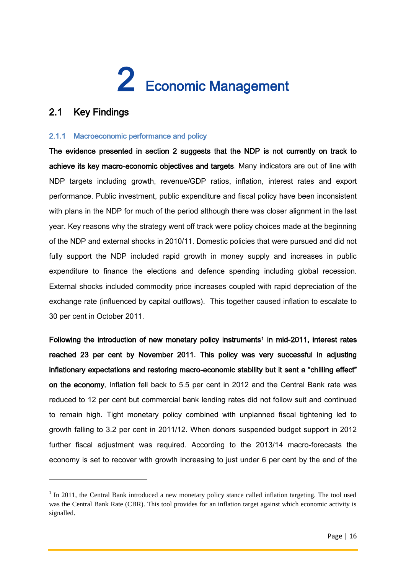# <span id="page-31-0"></span>2 Economic Management

# <span id="page-31-1"></span>2.1 Key Findings

1

#### <span id="page-31-2"></span>2.1.1 Macroeconomic performance and policy

The evidence presented in section 2 suggests that the NDP is not currently on track to achieve its key macro-economic objectives and targets. Many indicators are out of line with NDP targets including growth, revenue/GDP ratios, inflation, interest rates and export performance. Public investment, public expenditure and fiscal policy have been inconsistent with plans in the NDP for much of the period although there was closer alignment in the last year. Key reasons why the strategy went off track were policy choices made at the beginning of the NDP and external shocks in 2010/11. Domestic policies that were pursued and did not fully support the NDP included rapid growth in money supply and increases in public expenditure to finance the elections and defence spending including global recession. External shocks included commodity price increases coupled with rapid depreciation of the exchange rate (influenced by capital outflows). This together caused inflation to escalate to 30 per cent in October 2011.

Following the introduction of new monetary policy instruments<sup>1</sup> in mid-2011, interest rates reached 23 per cent by November 2011. This policy was very successful in adjusting inflationary expectations and restoring macro-economic stability but it sent a "chilling effect" on the economy. Inflation fell back to 5.5 per cent in 2012 and the Central Bank rate was reduced to 12 per cent but commercial bank lending rates did not follow suit and continued to remain high. Tight monetary policy combined with unplanned fiscal tightening led to growth falling to 3.2 per cent in 2011/12. When donors suspended budget support in 2012 further fiscal adjustment was required. According to the 2013/14 macro-forecasts the economy is set to recover with growth increasing to just under 6 per cent by the end of the

<sup>&</sup>lt;sup>1</sup> In 2011, the Central Bank introduced a new monetary policy stance called inflation targeting. The tool used was the Central Bank Rate (CBR). This tool provides for an inflation target against which economic activity is signalled.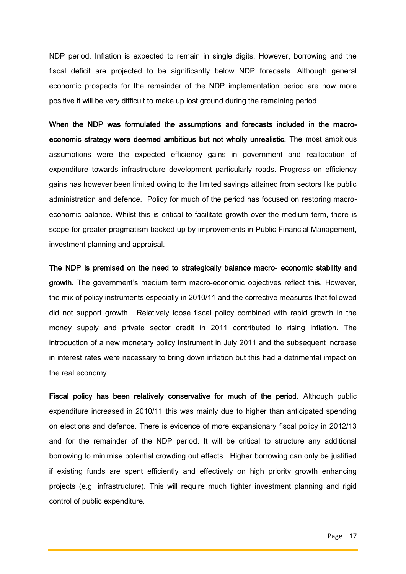NDP period. Inflation is expected to remain in single digits. However, borrowing and the fiscal deficit are projected to be significantly below NDP forecasts. Although general economic prospects for the remainder of the NDP implementation period are now more positive it will be very difficult to make up lost ground during the remaining period.

When the NDP was formulated the assumptions and forecasts included in the macroeconomic strategy were deemed ambitious but not wholly unrealistic. The most ambitious assumptions were the expected efficiency gains in government and reallocation of expenditure towards infrastructure development particularly roads. Progress on efficiency gains has however been limited owing to the limited savings attained from sectors like public administration and defence. Policy for much of the period has focused on restoring macroeconomic balance. Whilst this is critical to facilitate growth over the medium term, there is scope for greater pragmatism backed up by improvements in Public Financial Management, investment planning and appraisal.

The NDP is premised on the need to strategically balance macro- economic stability and growth. The government's medium term macro-economic objectives reflect this. However, the mix of policy instruments especially in 2010/11 and the corrective measures that followed did not support growth. Relatively loose fiscal policy combined with rapid growth in the money supply and private sector credit in 2011 contributed to rising inflation. The introduction of a new monetary policy instrument in July 2011 and the subsequent increase in interest rates were necessary to bring down inflation but this had a detrimental impact on the real economy.

Fiscal policy has been relatively conservative for much of the period. Although public expenditure increased in 2010/11 this was mainly due to higher than anticipated spending on elections and defence. There is evidence of more expansionary fiscal policy in 2012/13 and for the remainder of the NDP period. It will be critical to structure any additional borrowing to minimise potential crowding out effects. Higher borrowing can only be justified if existing funds are spent efficiently and effectively on high priority growth enhancing projects (e.g. infrastructure). This will require much tighter investment planning and rigid control of public expenditure.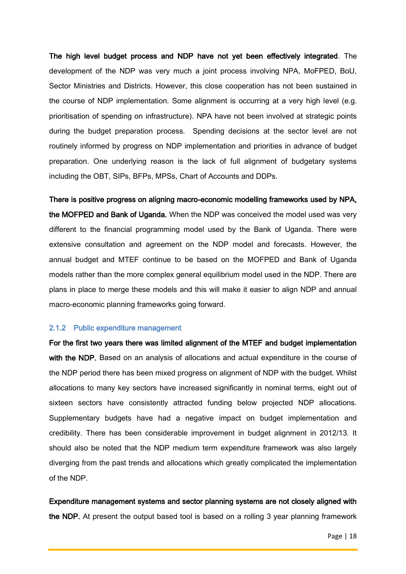The high level budget process and NDP have not yet been effectively integrated. The development of the NDP was very much a joint process involving NPA, MoFPED, BoU, Sector Ministries and Districts. However, this close cooperation has not been sustained in the course of NDP implementation. Some alignment is occurring at a very high level (e.g. prioritisation of spending on infrastructure). NPA have not been involved at strategic points during the budget preparation process. Spending decisions at the sector level are not routinely informed by progress on NDP implementation and priorities in advance of budget preparation. One underlying reason is the lack of full alignment of budgetary systems including the OBT, SIPs, BFPs, MPSs, Chart of Accounts and DDPs.

There is positive progress on aligning macro-economic modelling frameworks used by NPA, the MOFPED and Bank of Uganda. When the NDP was conceived the model used was very different to the financial programming model used by the Bank of Uganda. There were extensive consultation and agreement on the NDP model and forecasts. However, the annual budget and MTEF continue to be based on the MOFPED and Bank of Uganda models rather than the more complex general equilibrium model used in the NDP. There are plans in place to merge these models and this will make it easier to align NDP and annual macro-economic planning frameworks going forward.

#### <span id="page-33-0"></span>2.1.2 Public expenditure management

For the first two years there was limited alignment of the MTEF and budget implementation with the NDP. Based on an analysis of allocations and actual expenditure in the course of the NDP period there has been mixed progress on alignment of NDP with the budget. Whilst allocations to many key sectors have increased significantly in nominal terms, eight out of sixteen sectors have consistently attracted funding below projected NDP allocations. Supplementary budgets have had a negative impact on budget implementation and credibility. There has been considerable improvement in budget alignment in 2012/13. It should also be noted that the NDP medium term expenditure framework was also largely diverging from the past trends and allocations which greatly complicated the implementation of the NDP.

Expenditure management systems and sector planning systems are not closely aligned with the NDP. At present the output based tool is based on a rolling 3 year planning framework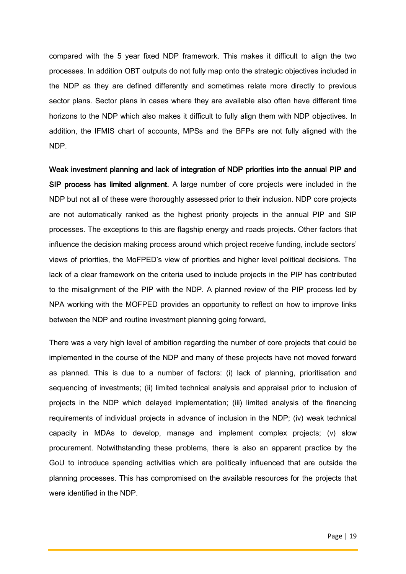compared with the 5 year fixed NDP framework. This makes it difficult to align the two processes. In addition OBT outputs do not fully map onto the strategic objectives included in the NDP as they are defined differently and sometimes relate more directly to previous sector plans. Sector plans in cases where they are available also often have different time horizons to the NDP which also makes it difficult to fully align them with NDP objectives. In addition, the IFMIS chart of accounts, MPSs and the BFPs are not fully aligned with the NDP.

Weak investment planning and lack of integration of NDP priorities into the annual PIP and SIP process has limited alignment. A large number of core projects were included in the NDP but not all of these were thoroughly assessed prior to their inclusion. NDP core projects are not automatically ranked as the highest priority projects in the annual PIP and SIP processes. The exceptions to this are flagship energy and roads projects. Other factors that influence the decision making process around which project receive funding, include sectors' views of priorities, the MoFPED's view of priorities and higher level political decisions. The lack of a clear framework on the criteria used to include projects in the PIP has contributed to the misalignment of the PIP with the NDP. A planned review of the PIP process led by NPA working with the MOFPED provides an opportunity to reflect on how to improve links between the NDP and routine investment planning going forward.

There was a very high level of ambition regarding the number of core projects that could be implemented in the course of the NDP and many of these projects have not moved forward as planned. This is due to a number of factors: (i) lack of planning, prioritisation and sequencing of investments; (ii) limited technical analysis and appraisal prior to inclusion of projects in the NDP which delayed implementation; (iii) limited analysis of the financing requirements of individual projects in advance of inclusion in the NDP; (iv) weak technical capacity in MDAs to develop, manage and implement complex projects; (v) slow procurement. Notwithstanding these problems, there is also an apparent practice by the GoU to introduce spending activities which are politically influenced that are outside the planning processes. This has compromised on the available resources for the projects that were identified in the NDP.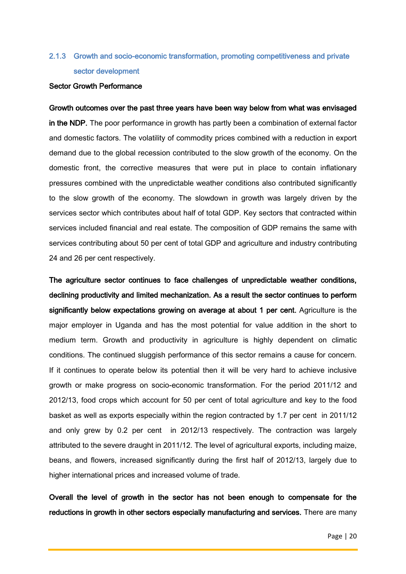# <span id="page-35-0"></span>2.1.3 Growth and socio-economic transformation, promoting competitiveness and private sector development

#### Sector Growth Performance

Growth outcomes over the past three years have been way below from what was envisaged in the NDP. The poor performance in growth has partly been a combination of external factor and domestic factors. The volatility of commodity prices combined with a reduction in export demand due to the global recession contributed to the slow growth of the economy. On the domestic front, the corrective measures that were put in place to contain inflationary pressures combined with the unpredictable weather conditions also contributed significantly to the slow growth of the economy. The slowdown in growth was largely driven by the services sector which contributes about half of total GDP. Key sectors that contracted within services included financial and real estate. The composition of GDP remains the same with services contributing about 50 per cent of total GDP and agriculture and industry contributing 24 and 26 per cent respectively.

The agriculture sector continues to face challenges of unpredictable weather conditions, declining productivity and limited mechanization. As a result the sector continues to perform significantly below expectations growing on average at about 1 per cent. Agriculture is the major employer in Uganda and has the most potential for value addition in the short to medium term. Growth and productivity in agriculture is highly dependent on climatic conditions. The continued sluggish performance of this sector remains a cause for concern. If it continues to operate below its potential then it will be very hard to achieve inclusive growth or make progress on socio-economic transformation. For the period 2011/12 and 2012/13, food crops which account for 50 per cent of total agriculture and key to the food basket as well as exports especially within the region contracted by 1.7 per cent in 2011/12 and only grew by 0.2 per cent in 2012/13 respectively. The contraction was largely attributed to the severe draught in 2011/12. The level of agricultural exports, including maize, beans, and flowers, increased significantly during the first half of 2012/13, largely due to higher international prices and increased volume of trade.

Overall the level of growth in the sector has not been enough to compensate for the reductions in growth in other sectors especially manufacturing and services. There are many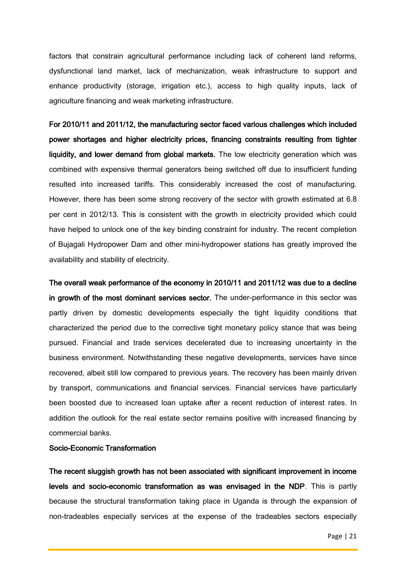factors that constrain agricultural performance including lack of coherent land reforms, dysfunctional land market, lack of mechanization, weak infrastructure to support and enhance productivity (storage, irrigation etc.), access to high quality inputs, lack of agriculture financing and weak marketing infrastructure.

For 2010/11 and 2011/12, the manufacturing sector faced various challenges which included power shortages and higher electricity prices, financing constraints resulting from tighter liquidity, and lower demand from global markets. The low electricity generation which was combined with expensive thermal generators being switched off due to insufficient funding resulted into increased tariffs. This considerably increased the cost of manufacturing. However, there has been some strong recovery of the sector with growth estimated at 6.8 per cent in 2012/13. This is consistent with the growth in electricity provided which could have helped to unlock one of the key binding constraint for industry. The recent completion of Bujagali Hydropower Dam and other mini-hydropower stations has greatly improved the availability and stability of electricity.

The overall weak performance of the economy in 2010/11 and 2011/12 was due to a decline in growth of the most dominant services sector. The under-performance in this sector was partly driven by domestic developments especially the tight liquidity conditions that characterized the period due to the corrective tight monetary policy stance that was being pursued. Financial and trade services decelerated due to increasing uncertainty in the business environment. Notwithstanding these negative developments, services have since recovered, albeit still low compared to previous years. The recovery has been mainly driven by transport, communications and financial services. Financial services have particularly been boosted due to increased loan uptake after a recent reduction of interest rates. In addition the outlook for the real estate sector remains positive with increased financing by commercial banks.

# Socio-Economic Transformation

The recent sluggish growth has not been associated with significant improvement in income levels and socio-economic transformation as was envisaged in the NDP. This is partly because the structural transformation taking place in Uganda is through the expansion of non-tradeables especially services at the expense of the tradeables sectors especially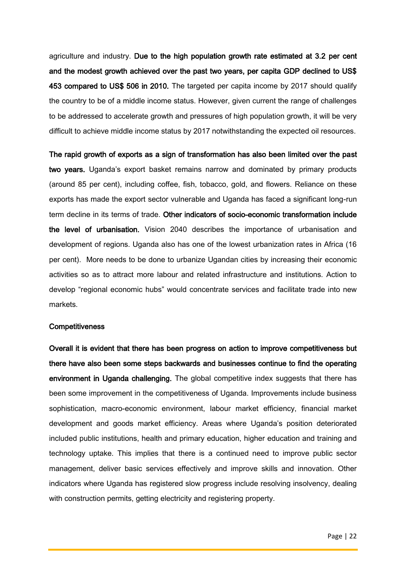agriculture and industry. Due to the high population growth rate estimated at 3.2 per cent and the modest growth achieved over the past two years, per capita GDP declined to US\$ 453 compared to US\$ 506 in 2010. The targeted per capita income by 2017 should qualify the country to be of a middle income status. However, given current the range of challenges to be addressed to accelerate growth and pressures of high population growth, it will be very difficult to achieve middle income status by 2017 notwithstanding the expected oil resources.

The rapid growth of exports as a sign of transformation has also been limited over the past two years. Uganda's export basket remains narrow and dominated by primary products (around 85 per cent), including coffee, fish, tobacco, gold, and flowers. Reliance on these exports has made the export sector vulnerable and Uganda has faced a significant long-run term decline in its terms of trade. Other indicators of socio-economic transformation include the level of urbanisation. Vision 2040 describes the importance of urbanisation and development of regions. Uganda also has one of the lowest urbanization rates in Africa (16 per cent). More needs to be done to urbanize Ugandan cities by increasing their economic activities so as to attract more labour and related infrastructure and institutions. Action to develop "regional economic hubs" would concentrate services and facilitate trade into new markets.

#### **Competitiveness**

Overall it is evident that there has been progress on action to improve competitiveness but there have also been some steps backwards and businesses continue to find the operating environment in Uganda challenging. The global competitive index suggests that there has been some improvement in the competitiveness of Uganda. Improvements include business sophistication, macro-economic environment, labour market efficiency, financial market development and goods market efficiency. Areas where Uganda's position deteriorated included public institutions, health and primary education, higher education and training and technology uptake. This implies that there is a continued need to improve public sector management, deliver basic services effectively and improve skills and innovation. Other indicators where Uganda has registered slow progress include resolving insolvency, dealing with construction permits, getting electricity and registering property.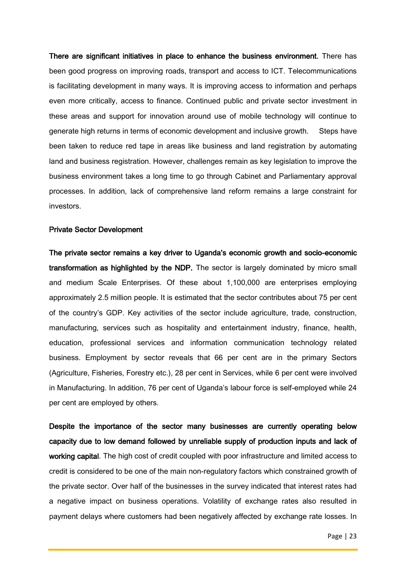There are significant initiatives in place to enhance the business environment. There has been good progress on improving roads, transport and access to ICT. Telecommunications is facilitating development in many ways. It is improving access to information and perhaps even more critically, access to finance. Continued public and private sector investment in these areas and support for innovation around use of mobile technology will continue to generate high returns in terms of economic development and inclusive growth. Steps have been taken to reduce red tape in areas like business and land registration by automating land and business registration. However, challenges remain as key legislation to improve the business environment takes a long time to go through Cabinet and Parliamentary approval processes. In addition, lack of comprehensive land reform remains a large constraint for investors.

#### Private Sector Development

The private sector remains a key driver to Uganda's economic growth and socio-economic transformation as highlighted by the NDP. The sector is largely dominated by micro small and medium Scale Enterprises. Of these about 1,100,000 are enterprises employing approximately 2.5 million people. It is estimated that the sector contributes about 75 per cent of the country's GDP. Key activities of the sector include agriculture, trade, construction, manufacturing, services such as hospitality and entertainment industry, finance, health, education, professional services and information communication technology related business. Employment by sector reveals that 66 per cent are in the primary Sectors (Agriculture, Fisheries, Forestry etc.), 28 per cent in Services, while 6 per cent were involved in Manufacturing. In addition, 76 per cent of Uganda's labour force is self-employed while 24 per cent are employed by others.

Despite the importance of the sector many businesses are currently operating below capacity due to low demand followed by unreliable supply of production inputs and lack of working capital. The high cost of credit coupled with poor infrastructure and limited access to credit is considered to be one of the main non-regulatory factors which constrained growth of the private sector. Over half of the businesses in the survey indicated that interest rates had a negative impact on business operations. Volatility of exchange rates also resulted in payment delays where customers had been negatively affected by exchange rate losses. In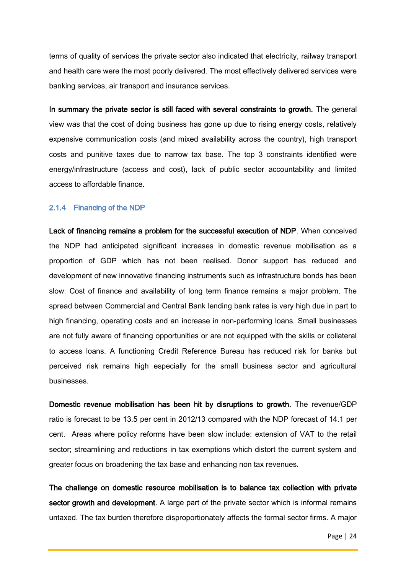terms of quality of services the private sector also indicated that electricity, railway transport and health care were the most poorly delivered. The most effectively delivered services were banking services, air transport and insurance services.

In summary the private sector is still faced with several constraints to growth. The general view was that the cost of doing business has gone up due to rising energy costs, relatively expensive communication costs (and mixed availability across the country), high transport costs and punitive taxes due to narrow tax base. The top 3 constraints identified were energy/infrastructure (access and cost), lack of public sector accountability and limited access to affordable finance.

#### 2.1.4 Financing of the NDP

Lack of financing remains a problem for the successful execution of NDP. When conceived the NDP had anticipated significant increases in domestic revenue mobilisation as a proportion of GDP which has not been realised. Donor support has reduced and development of new innovative financing instruments such as infrastructure bonds has been slow. Cost of finance and availability of long term finance remains a major problem. The spread between Commercial and Central Bank lending bank rates is very high due in part to high financing, operating costs and an increase in non-performing loans. Small businesses are not fully aware of financing opportunities or are not equipped with the skills or collateral to access loans. A functioning Credit Reference Bureau has reduced risk for banks but perceived risk remains high especially for the small business sector and agricultural businesses.

Domestic revenue mobilisation has been hit by disruptions to growth. The revenue/GDP ratio is forecast to be 13.5 per cent in 2012/13 compared with the NDP forecast of 14.1 per cent. Areas where policy reforms have been slow include: extension of VAT to the retail sector; streamlining and reductions in tax exemptions which distort the current system and greater focus on broadening the tax base and enhancing non tax revenues.

The challenge on domestic resource mobilisation is to balance tax collection with private sector growth and development. A large part of the private sector which is informal remains untaxed. The tax burden therefore disproportionately affects the formal sector firms. A major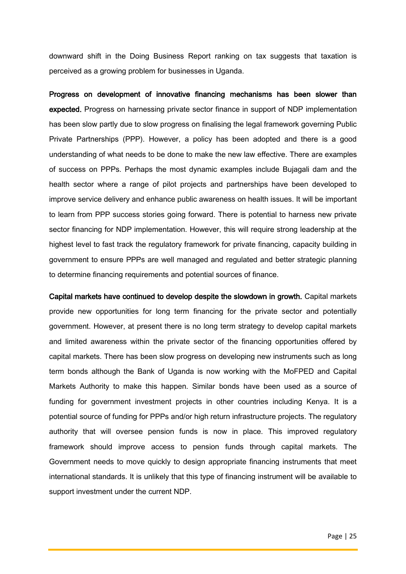downward shift in the Doing Business Report ranking on tax suggests that taxation is perceived as a growing problem for businesses in Uganda.

Progress on development of innovative financing mechanisms has been slower than expected. Progress on harnessing private sector finance in support of NDP implementation has been slow partly due to slow progress on finalising the legal framework governing Public Private Partnerships (PPP). However, a policy has been adopted and there is a good understanding of what needs to be done to make the new law effective. There are examples of success on PPPs. Perhaps the most dynamic examples include Bujagali dam and the health sector where a range of pilot projects and partnerships have been developed to improve service delivery and enhance public awareness on health issues. It will be important to learn from PPP success stories going forward. There is potential to harness new private sector financing for NDP implementation. However, this will require strong leadership at the highest level to fast track the regulatory framework for private financing, capacity building in government to ensure PPPs are well managed and regulated and better strategic planning to determine financing requirements and potential sources of finance.

Capital markets have continued to develop despite the slowdown in growth. Capital markets provide new opportunities for long term financing for the private sector and potentially government. However, at present there is no long term strategy to develop capital markets and limited awareness within the private sector of the financing opportunities offered by capital markets. There has been slow progress on developing new instruments such as long term bonds although the Bank of Uganda is now working with the MoFPED and Capital Markets Authority to make this happen. Similar bonds have been used as a source of funding for government investment projects in other countries including Kenya. It is a potential source of funding for PPPs and/or high return infrastructure projects. The regulatory authority that will oversee pension funds is now in place. This improved regulatory framework should improve access to pension funds through capital markets. The Government needs to move quickly to design appropriate financing instruments that meet international standards. It is unlikely that this type of financing instrument will be available to support investment under the current NDP.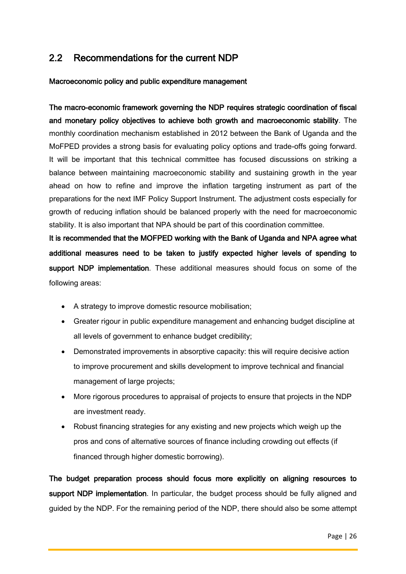# 2.2 Recommendations for the current NDP

### Macroeconomic policy and public expenditure management

The macro-economic framework governing the NDP requires strategic coordination of fiscal and monetary policy objectives to achieve both growth and macroeconomic stability. The monthly coordination mechanism established in 2012 between the Bank of Uganda and the MoFPED provides a strong basis for evaluating policy options and trade-offs going forward. It will be important that this technical committee has focused discussions on striking a balance between maintaining macroeconomic stability and sustaining growth in the year ahead on how to refine and improve the inflation targeting instrument as part of the preparations for the next IMF Policy Support Instrument. The adjustment costs especially for growth of reducing inflation should be balanced properly with the need for macroeconomic stability. It is also important that NPA should be part of this coordination committee.

It is recommended that the MOFPED working with the Bank of Uganda and NPA agree what additional measures need to be taken to justify expected higher levels of spending to support NDP implementation. These additional measures should focus on some of the following areas:

- A strategy to improve domestic resource mobilisation;
- Greater rigour in public expenditure management and enhancing budget discipline at all levels of government to enhance budget credibility;
- Demonstrated improvements in absorptive capacity: this will require decisive action to improve procurement and skills development to improve technical and financial management of large projects;
- More rigorous procedures to appraisal of projects to ensure that projects in the NDP are investment ready.
- Robust financing strategies for any existing and new projects which weigh up the pros and cons of alternative sources of finance including crowding out effects (if financed through higher domestic borrowing).

The budget preparation process should focus more explicitly on aligning resources to support NDP implementation. In particular, the budget process should be fully aligned and guided by the NDP. For the remaining period of the NDP, there should also be some attempt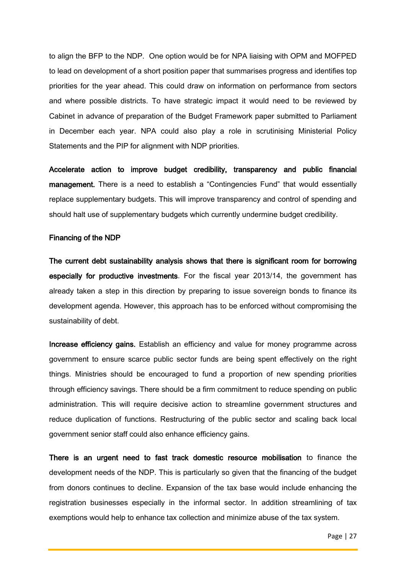to align the BFP to the NDP. One option would be for NPA liaising with OPM and MOFPED to lead on development of a short position paper that summarises progress and identifies top priorities for the year ahead. This could draw on information on performance from sectors and where possible districts. To have strategic impact it would need to be reviewed by Cabinet in advance of preparation of the Budget Framework paper submitted to Parliament in December each year. NPA could also play a role in scrutinising Ministerial Policy Statements and the PIP for alignment with NDP priorities.

Accelerate action to improve budget credibility, transparency and public financial management. There is a need to establish a "Contingencies Fund" that would essentially replace supplementary budgets. This will improve transparency and control of spending and should halt use of supplementary budgets which currently undermine budget credibility.

#### Financing of the NDP

The current debt sustainability analysis shows that there is significant room for borrowing especially for productive investments. For the fiscal year 2013/14, the government has already taken a step in this direction by preparing to issue sovereign bonds to finance its development agenda. However, this approach has to be enforced without compromising the sustainability of debt.

Increase efficiency gains. Establish an efficiency and value for money programme across government to ensure scarce public sector funds are being spent effectively on the right things. Ministries should be encouraged to fund a proportion of new spending priorities through efficiency savings. There should be a firm commitment to reduce spending on public administration. This will require decisive action to streamline government structures and reduce duplication of functions. Restructuring of the public sector and scaling back local government senior staff could also enhance efficiency gains.

There is an urgent need to fast track domestic resource mobilisation to finance the development needs of the NDP. This is particularly so given that the financing of the budget from donors continues to decline. Expansion of the tax base would include enhancing the registration businesses especially in the informal sector. In addition streamlining of tax exemptions would help to enhance tax collection and minimize abuse of the tax system.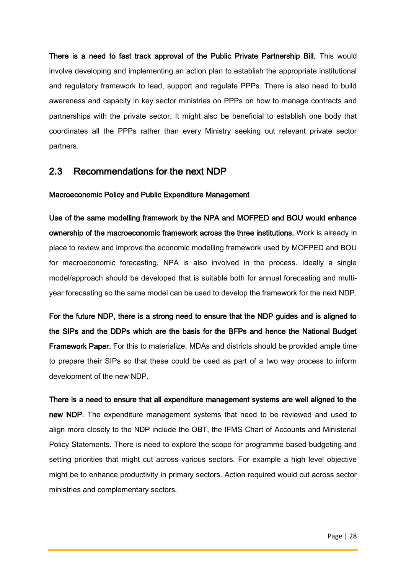There is a need to fast track approval of the Public Private Partnership Bill. This would involve developing and implementing an action plan to establish the appropriate institutional and regulatory framework to lead, support and regulate PPPs. There is also need to build awareness and capacity in key sector ministries on PPPs on how to manage contracts and partnerships with the private sector. It might also be beneficial to establish one body that coordinates all the PPPs rather than every Ministry seeking out relevant private sector partners.

# 2.3 Recommendations for the next NDP

### Macroeconomic Policy and Public Expenditure Management

Use of the same modelling framework by the NPA and MOFPED and BOU would enhance ownership of the macroeconomic framework across the three institutions. Work is already in place to review and improve the economic modelling framework used by MOFPED and BOU for macroeconomic forecasting. NPA is also involved in the process. Ideally a single model/approach should be developed that is suitable both for annual forecasting and multiyear forecasting so the same model can be used to develop the framework for the next NDP.

For the future NDP, there is a strong need to ensure that the NDP guides and is aligned to the SIPs and the DDPs which are the basis for the BFPs and hence the National Budget Framework Paper. For this to materialize, MDAs and districts should be provided ample time to prepare their SIPs so that these could be used as part of a two way process to inform development of the new NDP.

There is a need to ensure that all expenditure management systems are well aligned to the new NDP. The expenditure management systems that need to be reviewed and used to align more closely to the NDP include the OBT, the IFMS Chart of Accounts and Ministerial Policy Statements. There is need to explore the scope for programme based budgeting and setting priorities that might cut across various sectors. For example a high level objective might be to enhance productivity in primary sectors. Action required would cut across sector ministries and complementary sectors.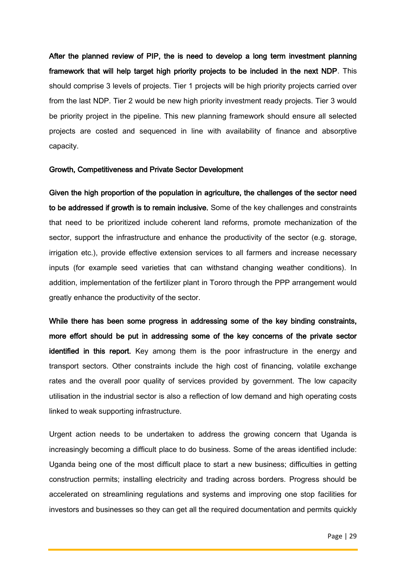After the planned review of PIP, the is need to develop a long term investment planning framework that will help target high priority projects to be included in the next NDP. This should comprise 3 levels of projects. Tier 1 projects will be high priority projects carried over from the last NDP. Tier 2 would be new high priority investment ready projects. Tier 3 would be priority project in the pipeline. This new planning framework should ensure all selected projects are costed and sequenced in line with availability of finance and absorptive capacity.

#### Growth, Competitiveness and Private Sector Development

Given the high proportion of the population in agriculture, the challenges of the sector need to be addressed if growth is to remain inclusive. Some of the key challenges and constraints that need to be prioritized include coherent land reforms, promote mechanization of the sector, support the infrastructure and enhance the productivity of the sector (e.g. storage, irrigation etc.), provide effective extension services to all farmers and increase necessary inputs (for example seed varieties that can withstand changing weather conditions). In addition, implementation of the fertilizer plant in Tororo through the PPP arrangement would greatly enhance the productivity of the sector.

While there has been some progress in addressing some of the key binding constraints, more effort should be put in addressing some of the key concerns of the private sector identified in this report. Key among them is the poor infrastructure in the energy and transport sectors. Other constraints include the high cost of financing, volatile exchange rates and the overall poor quality of services provided by government. The low capacity utilisation in the industrial sector is also a reflection of low demand and high operating costs linked to weak supporting infrastructure.

Urgent action needs to be undertaken to address the growing concern that Uganda is increasingly becoming a difficult place to do business. Some of the areas identified include: Uganda being one of the most difficult place to start a new business; difficulties in getting construction permits; installing electricity and trading across borders. Progress should be accelerated on streamlining regulations and systems and improving one stop facilities for investors and businesses so they can get all the required documentation and permits quickly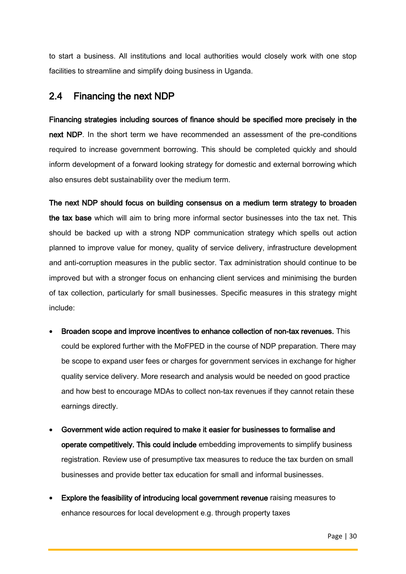to start a business. All institutions and local authorities would closely work with one stop facilities to streamline and simplify doing business in Uganda.

# 2.4 Financing the next NDP

Financing strategies including sources of finance should be specified more precisely in the next NDP. In the short term we have recommended an assessment of the pre-conditions required to increase government borrowing. This should be completed quickly and should inform development of a forward looking strategy for domestic and external borrowing which also ensures debt sustainability over the medium term.

The next NDP should focus on building consensus on a medium term strategy to broaden the tax base which will aim to bring more informal sector businesses into the tax net. This should be backed up with a strong NDP communication strategy which spells out action planned to improve value for money, quality of service delivery, infrastructure development and anti-corruption measures in the public sector. Tax administration should continue to be improved but with a stronger focus on enhancing client services and minimising the burden of tax collection, particularly for small businesses. Specific measures in this strategy might include:

- Broaden scope and improve incentives to enhance collection of non-tax revenues. This could be explored further with the MoFPED in the course of NDP preparation. There may be scope to expand user fees or charges for government services in exchange for higher quality service delivery. More research and analysis would be needed on good practice and how best to encourage MDAs to collect non-tax revenues if they cannot retain these earnings directly.
- Government wide action required to make it easier for businesses to formalise and operate competitively. This could include embedding improvements to simplify business registration. Review use of presumptive tax measures to reduce the tax burden on small businesses and provide better tax education for small and informal businesses.
- Explore the feasibility of introducing local government revenue raising measures to enhance resources for local development e.g. through property taxes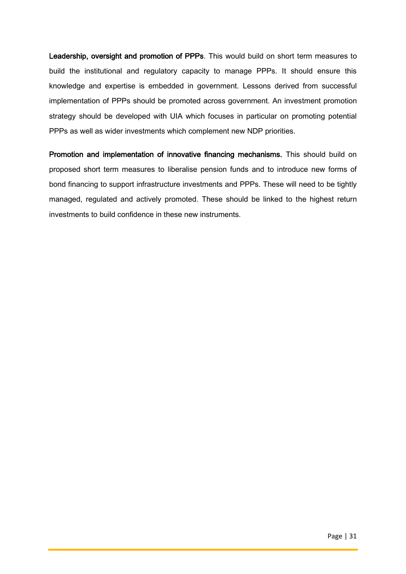Leadership, oversight and promotion of PPPs. This would build on short term measures to build the institutional and regulatory capacity to manage PPPs. It should ensure this knowledge and expertise is embedded in government. Lessons derived from successful implementation of PPPs should be promoted across government. An investment promotion strategy should be developed with UIA which focuses in particular on promoting potential PPPs as well as wider investments which complement new NDP priorities.

Promotion and implementation of innovative financing mechanisms. This should build on proposed short term measures to liberalise pension funds and to introduce new forms of bond financing to support infrastructure investments and PPPs. These will need to be tightly managed, regulated and actively promoted. These should be linked to the highest return investments to build confidence in these new instruments.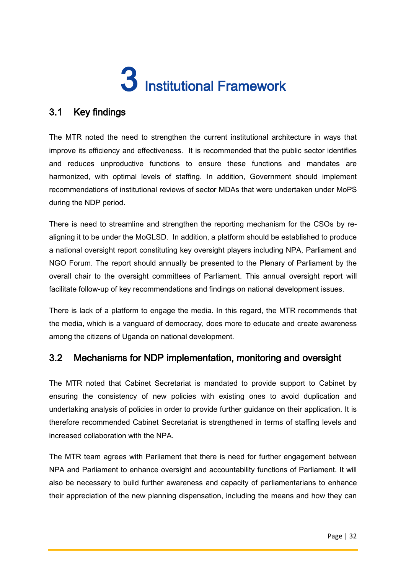# 3 Institutional Framework

# 3.1 Key findings

The MTR noted the need to strengthen the current institutional architecture in ways that improve its efficiency and effectiveness. It is recommended that the public sector identifies and reduces unproductive functions to ensure these functions and mandates are harmonized, with optimal levels of staffing. In addition, Government should implement recommendations of institutional reviews of sector MDAs that were undertaken under MoPS during the NDP period.

There is need to streamline and strengthen the reporting mechanism for the CSOs by realigning it to be under the MoGLSD. In addition, a platform should be established to produce a national oversight report constituting key oversight players including NPA, Parliament and NGO Forum. The report should annually be presented to the Plenary of Parliament by the overall chair to the oversight committees of Parliament. This annual oversight report will facilitate follow-up of key recommendations and findings on national development issues.

There is lack of a platform to engage the media. In this regard, the MTR recommends that the media, which is a vanguard of democracy, does more to educate and create awareness among the citizens of Uganda on national development.

# 3.2 Mechanisms for NDP implementation, monitoring and oversight

The MTR noted that Cabinet Secretariat is mandated to provide support to Cabinet by ensuring the consistency of new policies with existing ones to avoid duplication and undertaking analysis of policies in order to provide further guidance on their application. It is therefore recommended Cabinet Secretariat is strengthened in terms of staffing levels and increased collaboration with the NPA.

The MTR team agrees with Parliament that there is need for further engagement between NPA and Parliament to enhance oversight and accountability functions of Parliament. It will also be necessary to build further awareness and capacity of parliamentarians to enhance their appreciation of the new planning dispensation, including the means and how they can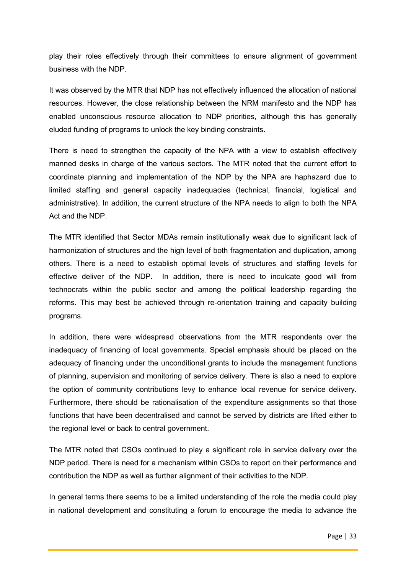play their roles effectively through their committees to ensure alignment of government business with the NDP.

It was observed by the MTR that NDP has not effectively influenced the allocation of national resources. However, the close relationship between the NRM manifesto and the NDP has enabled unconscious resource allocation to NDP priorities, although this has generally eluded funding of programs to unlock the key binding constraints.

There is need to strengthen the capacity of the NPA with a view to establish effectively manned desks in charge of the various sectors. The MTR noted that the current effort to coordinate planning and implementation of the NDP by the NPA are haphazard due to limited staffing and general capacity inadequacies (technical, financial, logistical and administrative). In addition, the current structure of the NPA needs to align to both the NPA Act and the NDP.

The MTR identified that Sector MDAs remain institutionally weak due to significant lack of harmonization of structures and the high level of both fragmentation and duplication, among others. There is a need to establish optimal levels of structures and staffing levels for effective deliver of the NDP. In addition, there is need to inculcate good will from technocrats within the public sector and among the political leadership regarding the reforms. This may best be achieved through re-orientation training and capacity building programs.

In addition, there were widespread observations from the MTR respondents over the inadequacy of financing of local governments. Special emphasis should be placed on the adequacy of financing under the unconditional grants to include the management functions of planning, supervision and monitoring of service delivery. There is also a need to explore the option of community contributions levy to enhance local revenue for service delivery. Furthermore, there should be rationalisation of the expenditure assignments so that those functions that have been decentralised and cannot be served by districts are lifted either to the regional level or back to central government.

The MTR noted that CSOs continued to play a significant role in service delivery over the NDP period. There is need for a mechanism within CSOs to report on their performance and contribution the NDP as well as further alignment of their activities to the NDP.

In general terms there seems to be a limited understanding of the role the media could play in national development and constituting a forum to encourage the media to advance the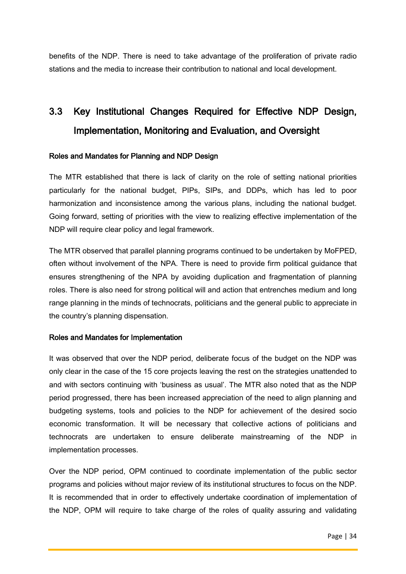benefits of the NDP. There is need to take advantage of the proliferation of private radio stations and the media to increase their contribution to national and local development.

# 3.3 Key Institutional Changes Required for Effective NDP Design, Implementation, Monitoring and Evaluation, and Oversight

# Roles and Mandates for Planning and NDP Design

The MTR established that there is lack of clarity on the role of setting national priorities particularly for the national budget, PIPs, SIPs, and DDPs, which has led to poor harmonization and inconsistence among the various plans, including the national budget. Going forward, setting of priorities with the view to realizing effective implementation of the NDP will require clear policy and legal framework.

The MTR observed that parallel planning programs continued to be undertaken by MoFPED, often without involvement of the NPA. There is need to provide firm political guidance that ensures strengthening of the NPA by avoiding duplication and fragmentation of planning roles. There is also need for strong political will and action that entrenches medium and long range planning in the minds of technocrats, politicians and the general public to appreciate in the country's planning dispensation.

### Roles and Mandates for Implementation

It was observed that over the NDP period, deliberate focus of the budget on the NDP was only clear in the case of the 15 core projects leaving the rest on the strategies unattended to and with sectors continuing with 'business as usual'. The MTR also noted that as the NDP period progressed, there has been increased appreciation of the need to align planning and budgeting systems, tools and policies to the NDP for achievement of the desired socio economic transformation. It will be necessary that collective actions of politicians and technocrats are undertaken to ensure deliberate mainstreaming of the NDP in implementation processes.

Over the NDP period, OPM continued to coordinate implementation of the public sector programs and policies without major review of its institutional structures to focus on the NDP. It is recommended that in order to effectively undertake coordination of implementation of the NDP, OPM will require to take charge of the roles of quality assuring and validating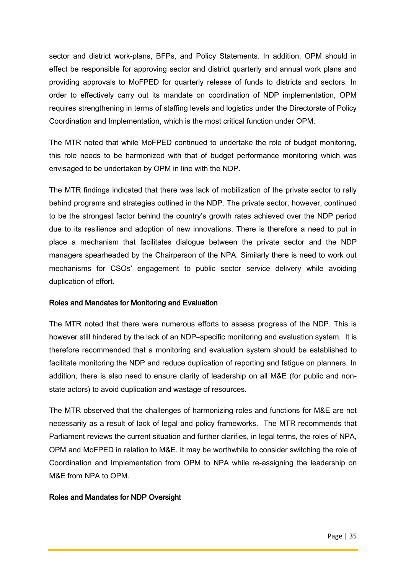sector and district work-plans, BFPs, and Policy Statements. In addition, OPM should in effect be responsible for approving sector and district quarterly and annual work plans and providing approvals to MoFPED for quarterly release of funds to districts and sectors. In order to effectively carry out its mandate on coordination of NDP implementation, OPM requires strengthening in terms of staffing levels and logistics under the Directorate of Policy Coordination and Implementation, which is the most critical function under OPM.

The MTR noted that while MoFPED continued to undertake the role of budget monitoring, this role needs to be harmonized with that of budget performance monitoring which was envisaged to be undertaken by OPM in line with the NDP.

The MTR findings indicated that there was lack of mobilization of the private sector to rally behind programs and strategies outlined in the NDP. The private sector, however, continued to be the strongest factor behind the country's growth rates achieved over the NDP period due to its resilience and adoption of new innovations. There is therefore a need to put in place a mechanism that facilitates dialogue between the private sector and the NDP managers spearheaded by the Chairperson of the NPA. Similarly there is need to work out mechanisms for CSOs' engagement to public sector service delivery while avoiding duplication of effort.

### Roles and Mandates for Monitoring and Evaluation

The MTR noted that there were numerous efforts to assess progress of the NDP. This is however still hindered by the lack of an NDP–specific monitoring and evaluation system. It is therefore recommended that a monitoring and evaluation system should be established to facilitate monitoring the NDP and reduce duplication of reporting and fatigue on planners. In addition, there is also need to ensure clarity of leadership on all M&E (for public and nonstate actors) to avoid duplication and wastage of resources.

The MTR observed that the challenges of harmonizing roles and functions for M&E are not necessarily as a result of lack of legal and policy frameworks. The MTR recommends that Parliament reviews the current situation and further clarifies, in legal terms, the roles of NPA, OPM and MoFPED in relation to M&E. It may be worthwhile to consider switching the role of Coordination and Implementation from OPM to NPA while re-assigning the leadership on M&E from NPA to OPM.

### Roles and Mandates for NDP Oversight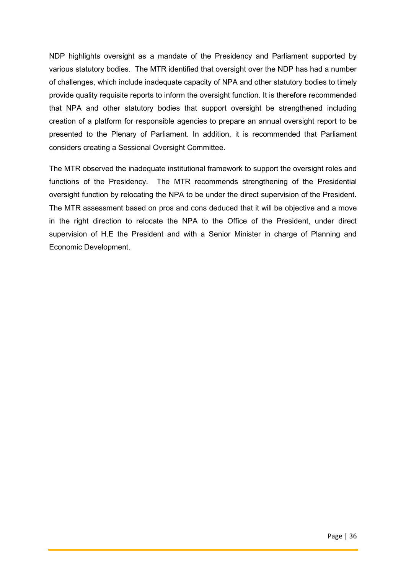NDP highlights oversight as a mandate of the Presidency and Parliament supported by various statutory bodies. The MTR identified that oversight over the NDP has had a number of challenges, which include inadequate capacity of NPA and other statutory bodies to timely provide quality requisite reports to inform the oversight function. It is therefore recommended that NPA and other statutory bodies that support oversight be strengthened including creation of a platform for responsible agencies to prepare an annual oversight report to be presented to the Plenary of Parliament. In addition, it is recommended that Parliament considers creating a Sessional Oversight Committee.

The MTR observed the inadequate institutional framework to support the oversight roles and functions of the Presidency. The MTR recommends strengthening of the Presidential oversight function by relocating the NPA to be under the direct supervision of the President. The MTR assessment based on pros and cons deduced that it will be objective and a move in the right direction to relocate the NPA to the Office of the President, under direct supervision of H.E the President and with a Senior Minister in charge of Planning and Economic Development.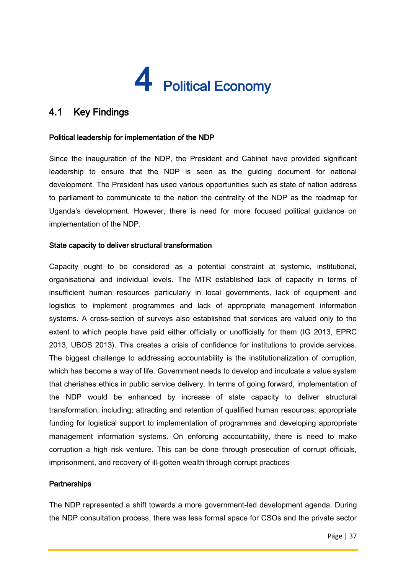# 4 Political Economy

# 4.1 Key Findings

# Political leadership for implementation of the NDP

Since the inauguration of the NDP, the President and Cabinet have provided significant leadership to ensure that the NDP is seen as the guiding document for national development. The President has used various opportunities such as state of nation address to parliament to communicate to the nation the centrality of the NDP as the roadmap for Uganda's development. However, there is need for more focused political guidance on implementation of the NDP.

# State capacity to deliver structural transformation

Capacity ought to be considered as a potential constraint at systemic, institutional, organisational and individual levels. The MTR established lack of capacity in terms of insufficient human resources particularly in local governments, lack of equipment and logistics to implement programmes and lack of appropriate management information systems. A cross-section of surveys also established that services are valued only to the extent to which people have paid either officially or unofficially for them (IG 2013, EPRC 2013, UBOS 2013). This creates a crisis of confidence for institutions to provide services. The biggest challenge to addressing accountability is the institutionalization of corruption, which has become a way of life. Government needs to develop and inculcate a value system that cherishes ethics in public service delivery. In terms of going forward, implementation of the NDP would be enhanced by increase of state capacity to deliver structural transformation, including; attracting and retention of qualified human resources; appropriate funding for logistical support to implementation of programmes and developing appropriate management information systems. On enforcing accountability, there is need to make corruption a high risk venture. This can be done through prosecution of corrupt officials, imprisonment, and recovery of ill-gotten wealth through corrupt practices

### **Partnerships**

The NDP represented a shift towards a more government-led development agenda. During the NDP consultation process, there was less formal space for CSOs and the private sector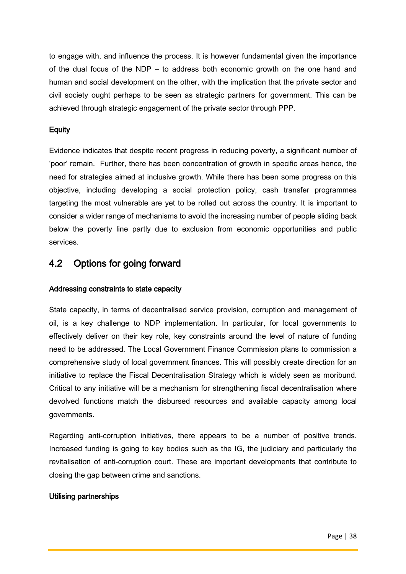to engage with, and influence the process. It is however fundamental given the importance of the dual focus of the NDP – to address both economic growth on the one hand and human and social development on the other, with the implication that the private sector and civil society ought perhaps to be seen as strategic partners for government. This can be achieved through strategic engagement of the private sector through PPP.

# **Equity**

Evidence indicates that despite recent progress in reducing poverty, a significant number of 'poor' remain. Further, there has been concentration of growth in specific areas hence, the need for strategies aimed at inclusive growth. While there has been some progress on this objective, including developing a social protection policy, cash transfer programmes targeting the most vulnerable are yet to be rolled out across the country. It is important to consider a wider range of mechanisms to avoid the increasing number of people sliding back below the poverty line partly due to exclusion from economic opportunities and public services.

# 4.2 Options for going forward

# Addressing constraints to state capacity

State capacity, in terms of decentralised service provision, corruption and management of oil, is a key challenge to NDP implementation. In particular, for local governments to effectively deliver on their key role, key constraints around the level of nature of funding need to be addressed. The Local Government Finance Commission plans to commission a comprehensive study of local government finances. This will possibly create direction for an initiative to replace the Fiscal Decentralisation Strategy which is widely seen as moribund. Critical to any initiative will be a mechanism for strengthening fiscal decentralisation where devolved functions match the disbursed resources and available capacity among local governments.

Regarding anti-corruption initiatives, there appears to be a number of positive trends. Increased funding is going to key bodies such as the IG, the judiciary and particularly the revitalisation of anti-corruption court. These are important developments that contribute to closing the gap between crime and sanctions.

# Utilising partnerships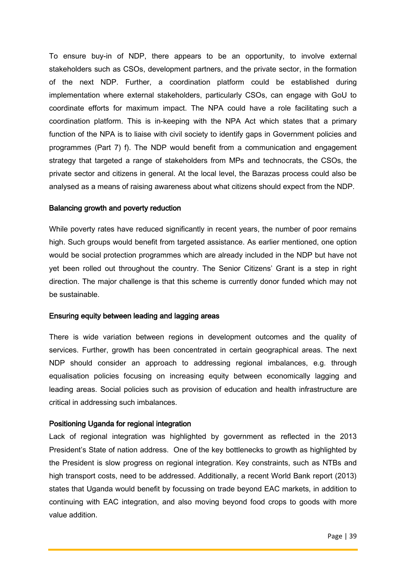To ensure buy-in of NDP, there appears to be an opportunity, to involve external stakeholders such as CSOs, development partners, and the private sector, in the formation of the next NDP. Further, a coordination platform could be established during implementation where external stakeholders, particularly CSOs, can engage with GoU to coordinate efforts for maximum impact. The NPA could have a role facilitating such a coordination platform. This is in-keeping with the NPA Act which states that a primary function of the NPA is to liaise with civil society to identify gaps in Government policies and programmes (Part 7) f). The NDP would benefit from a communication and engagement strategy that targeted a range of stakeholders from MPs and technocrats, the CSOs, the private sector and citizens in general. At the local level, the Barazas process could also be analysed as a means of raising awareness about what citizens should expect from the NDP.

#### Balancing growth and poverty reduction

While poverty rates have reduced significantly in recent years, the number of poor remains high. Such groups would benefit from targeted assistance. As earlier mentioned, one option would be social protection programmes which are already included in the NDP but have not yet been rolled out throughout the country. The Senior Citizens' Grant is a step in right direction. The major challenge is that this scheme is currently donor funded which may not be sustainable.

### Ensuring equity between leading and lagging areas

There is wide variation between regions in development outcomes and the quality of services. Further, growth has been concentrated in certain geographical areas. The next NDP should consider an approach to addressing regional imbalances, e.g. through equalisation policies focusing on increasing equity between economically lagging and leading areas. Social policies such as provision of education and health infrastructure are critical in addressing such imbalances.

### Positioning Uganda for regional integration

Lack of regional integration was highlighted by government as reflected in the 2013 President's State of nation address. One of the key bottlenecks to growth as highlighted by the President is slow progress on regional integration. Key constraints, such as NTBs and high transport costs, need to be addressed. Additionally, a recent World Bank report (2013) states that Uganda would benefit by focussing on trade beyond EAC markets, in addition to continuing with EAC integration, and also moving beyond food crops to goods with more value addition.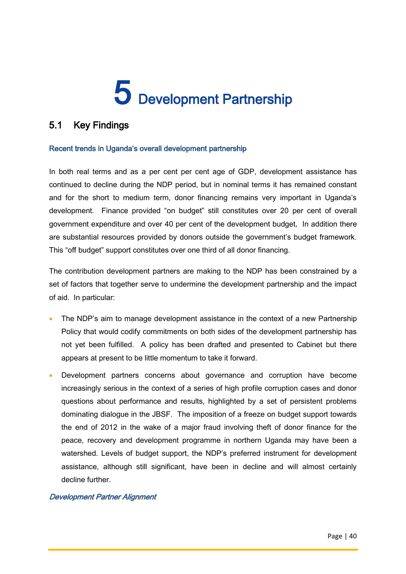# 5 Development Partnership

# 5.1 Key Findings

# Recent trends in Uganda's overall development partnership

In both real terms and as a per cent per cent age of GDP, development assistance has continued to decline during the NDP period, but in nominal terms it has remained constant and for the short to medium term, donor financing remains very important in Uganda's development. Finance provided "on budget" still constitutes over 20 per cent of overall government expenditure and over 40 per cent of the development budget. In addition there are substantial resources provided by donors outside the government's budget framework. This "off budget" support constitutes over one third of all donor financing.

The contribution development partners are making to the NDP has been constrained by a set of factors that together serve to undermine the development partnership and the impact of aid. In particular:

- The NDP's aim to manage development assistance in the context of a new Partnership Policy that would codify commitments on both sides of the development partnership has not yet been fulfilled. A policy has been drafted and presented to Cabinet but there appears at present to be little momentum to take it forward.
- Development partners concerns about governance and corruption have become increasingly serious in the context of a series of high profile corruption cases and donor questions about performance and results, highlighted by a set of persistent problems dominating dialogue in the JBSF. The imposition of a freeze on budget support towards the end of 2012 in the wake of a major fraud involving theft of donor finance for the peace, recovery and development programme in northern Uganda may have been a watershed. Levels of budget support, the NDP's preferred instrument for development assistance, although still significant, have been in decline and will almost certainly decline further.

### Development Partner Alignment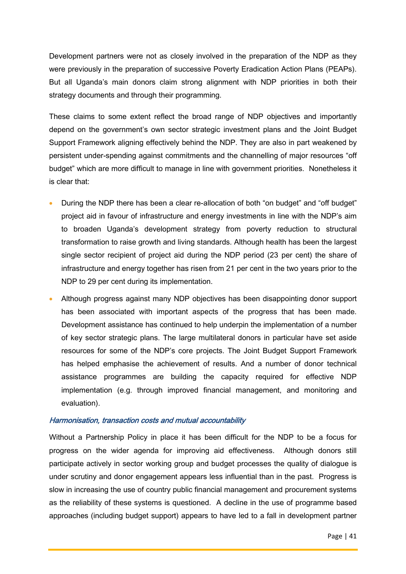Development partners were not as closely involved in the preparation of the NDP as they were previously in the preparation of successive Poverty Eradication Action Plans (PEAPs). But all Uganda's main donors claim strong alignment with NDP priorities in both their strategy documents and through their programming.

These claims to some extent reflect the broad range of NDP objectives and importantly depend on the government's own sector strategic investment plans and the Joint Budget Support Framework aligning effectively behind the NDP. They are also in part weakened by persistent under-spending against commitments and the channelling of major resources "off budget" which are more difficult to manage in line with government priorities. Nonetheless it is clear that:

- During the NDP there has been a clear re-allocation of both "on budget" and "off budget" project aid in favour of infrastructure and energy investments in line with the NDP's aim to broaden Uganda's development strategy from poverty reduction to structural transformation to raise growth and living standards. Although health has been the largest single sector recipient of project aid during the NDP period (23 per cent) the share of infrastructure and energy together has risen from 21 per cent in the two years prior to the NDP to 29 per cent during its implementation.
- Although progress against many NDP objectives has been disappointing donor support has been associated with important aspects of the progress that has been made. Development assistance has continued to help underpin the implementation of a number of key sector strategic plans. The large multilateral donors in particular have set aside resources for some of the NDP's core projects. The Joint Budget Support Framework has helped emphasise the achievement of results. And a number of donor technical assistance programmes are building the capacity required for effective NDP implementation (e.g. through improved financial management, and monitoring and evaluation).

#### Harmonisation, transaction costs and mutual accountability

Without a Partnership Policy in place it has been difficult for the NDP to be a focus for progress on the wider agenda for improving aid effectiveness. Although donors still participate actively in sector working group and budget processes the quality of dialogue is under scrutiny and donor engagement appears less influential than in the past. Progress is slow in increasing the use of country public financial management and procurement systems as the reliability of these systems is questioned. A decline in the use of programme based approaches (including budget support) appears to have led to a fall in development partner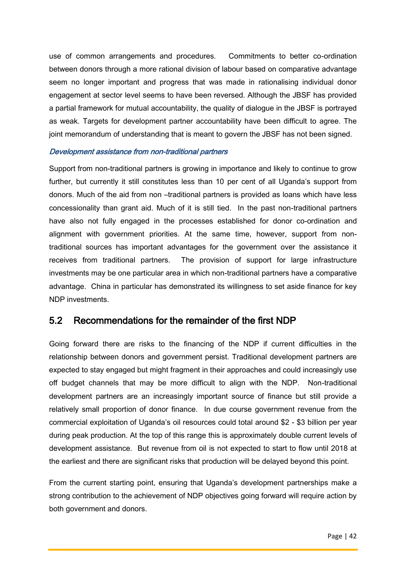use of common arrangements and procedures. Commitments to better co-ordination between donors through a more rational division of labour based on comparative advantage seem no longer important and progress that was made in rationalising individual donor engagement at sector level seems to have been reversed. Although the JBSF has provided a partial framework for mutual accountability, the quality of dialogue in the JBSF is portrayed as weak. Targets for development partner accountability have been difficult to agree. The joint memorandum of understanding that is meant to govern the JBSF has not been signed.

#### Development assistance from non-traditional partners

Support from non-traditional partners is growing in importance and likely to continue to grow further, but currently it still constitutes less than 10 per cent of all Uganda's support from donors. Much of the aid from non –traditional partners is provided as loans which have less concessionality than grant aid. Much of it is still tied. In the past non-traditional partners have also not fully engaged in the processes established for donor co-ordination and alignment with government priorities. At the same time, however, support from nontraditional sources has important advantages for the government over the assistance it receives from traditional partners. The provision of support for large infrastructure investments may be one particular area in which non-traditional partners have a comparative advantage. China in particular has demonstrated its willingness to set aside finance for key NDP investments.

# 5.2 Recommendations for the remainder of the first NDP

Going forward there are risks to the financing of the NDP if current difficulties in the relationship between donors and government persist. Traditional development partners are expected to stay engaged but might fragment in their approaches and could increasingly use off budget channels that may be more difficult to align with the NDP. Non-traditional development partners are an increasingly important source of finance but still provide a relatively small proportion of donor finance. In due course government revenue from the commercial exploitation of Uganda's oil resources could total around \$2 - \$3 billion per year during peak production. At the top of this range this is approximately double current levels of development assistance. But revenue from oil is not expected to start to flow until 2018 at the earliest and there are significant risks that production will be delayed beyond this point.

From the current starting point, ensuring that Uganda's development partnerships make a strong contribution to the achievement of NDP objectives going forward will require action by both government and donors.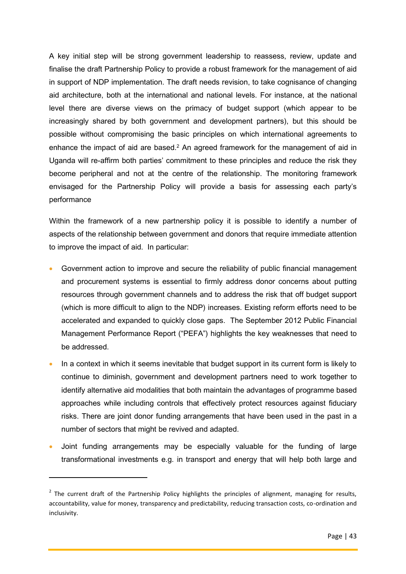A key initial step will be strong government leadership to reassess, review, update and finalise the draft Partnership Policy to provide a robust framework for the management of aid in support of NDP implementation. The draft needs revision, to take cognisance of changing aid architecture, both at the international and national levels. For instance, at the national level there are diverse views on the primacy of budget support (which appear to be increasingly shared by both government and development partners), but this should be possible without compromising the basic principles on which international agreements to enhance the impact of aid are based.<sup>2</sup> An agreed framework for the management of aid in Uganda will re-affirm both parties' commitment to these principles and reduce the risk they become peripheral and not at the centre of the relationship. The monitoring framework envisaged for the Partnership Policy will provide a basis for assessing each party's performance

Within the framework of a new partnership policy it is possible to identify a number of aspects of the relationship between government and donors that require immediate attention to improve the impact of aid. In particular:

- Government action to improve and secure the reliability of public financial management and procurement systems is essential to firmly address donor concerns about putting resources through government channels and to address the risk that off budget support (which is more difficult to align to the NDP) increases. Existing reform efforts need to be accelerated and expanded to quickly close gaps. The September 2012 Public Financial Management Performance Report ("PEFA") highlights the key weaknesses that need to be addressed.
- In a context in which it seems inevitable that budget support in its current form is likely to continue to diminish, government and development partners need to work together to identify alternative aid modalities that both maintain the advantages of programme based approaches while including controls that effectively protect resources against fiduciary risks. There are joint donor funding arrangements that have been used in the past in a number of sectors that might be revived and adapted.
- Joint funding arrangements may be especially valuable for the funding of large transformational investments e.g. in transport and energy that will help both large and

**.** 

<sup>&</sup>lt;sup>2</sup> The current draft of the Partnership Policy highlights the principles of alignment, managing for results, accountability, value for money, transparency and predictability, reducing transaction costs, co-ordination and inclusivity.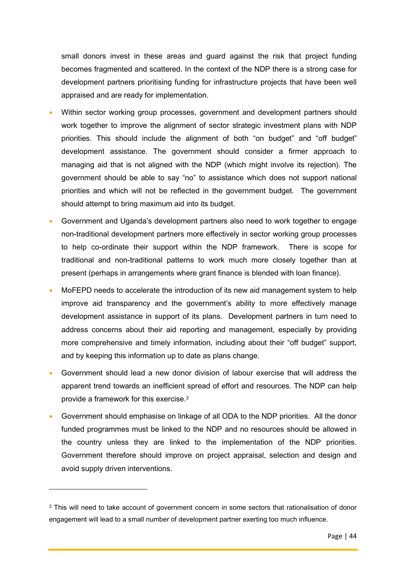small donors invest in these areas and guard against the risk that project funding becomes fragmented and scattered. In the context of the NDP there is a strong case for development partners prioritising funding for infrastructure projects that have been well appraised and are ready for implementation.

- Within sector working group processes, government and development partners should work together to improve the alignment of sector strategic investment plans with NDP priorities. This should include the alignment of both "on budget" and "off budget" development assistance. The government should consider a firmer approach to managing aid that is not aligned with the NDP (which might involve its rejection). The government should be able to say "no" to assistance which does not support national priorities and which will not be reflected in the government budget. The government should attempt to bring maximum aid into its budget.
- Government and Uganda's development partners also need to work together to engage non-traditional development partners more effectively in sector working group processes to help co-ordinate their support within the NDP framework. There is scope for traditional and non-traditional patterns to work much more closely together than at present (perhaps in arrangements where grant finance is blended with loan finance).
- MoFEPD needs to accelerate the introduction of its new aid management system to help improve aid transparency and the government's ability to more effectively manage development assistance in support of its plans. Development partners in turn need to address concerns about their aid reporting and management, especially by providing more comprehensive and timely information, including about their "off budget" support, and by keeping this information up to date as plans change.
- Government should lead a new donor division of labour exercise that will address the apparent trend towards an inefficient spread of effort and resources. The NDP can help provide a framework for this exercise.<sup>3</sup>
- Government should emphasise on linkage of all ODA to the NDP priorities. All the donor funded programmes must be linked to the NDP and no resources should be allowed in the country unless they are linked to the implementation of the NDP priorities. Government therefore should improve on project appraisal, selection and design and avoid supply driven interventions.

 $\overline{a}$ 

<sup>&</sup>lt;sup>3</sup> This will need to take account of government concern in some sectors that rationalisation of donor engagement will lead to a small number of development partner exerting too much influence.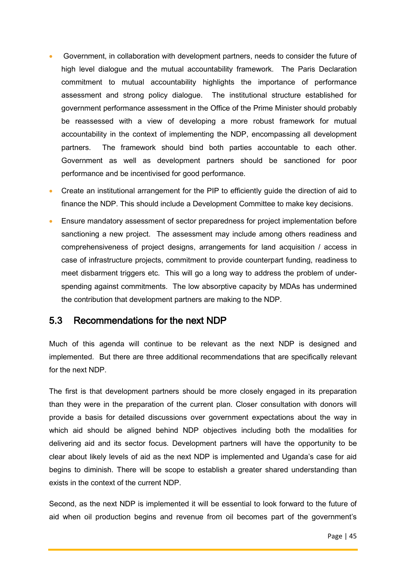- Government, in collaboration with development partners, needs to consider the future of high level dialogue and the mutual accountability framework. The Paris Declaration commitment to mutual accountability highlights the importance of performance assessment and strong policy dialogue. The institutional structure established for government performance assessment in the Office of the Prime Minister should probably be reassessed with a view of developing a more robust framework for mutual accountability in the context of implementing the NDP, encompassing all development partners. The framework should bind both parties accountable to each other. Government as well as development partners should be sanctioned for poor performance and be incentivised for good performance.
- Create an institutional arrangement for the PIP to efficiently guide the direction of aid to finance the NDP. This should include a Development Committee to make key decisions.
- Ensure mandatory assessment of sector preparedness for project implementation before sanctioning a new project. The assessment may include among others readiness and comprehensiveness of project designs, arrangements for land acquisition / access in case of infrastructure projects, commitment to provide counterpart funding, readiness to meet disbarment triggers etc. This will go a long way to address the problem of underspending against commitments. The low absorptive capacity by MDAs has undermined the contribution that development partners are making to the NDP.

# 5.3 Recommendations for the next NDP

Much of this agenda will continue to be relevant as the next NDP is designed and implemented. But there are three additional recommendations that are specifically relevant for the next NDP.

The first is that development partners should be more closely engaged in its preparation than they were in the preparation of the current plan. Closer consultation with donors will provide a basis for detailed discussions over government expectations about the way in which aid should be aligned behind NDP objectives including both the modalities for delivering aid and its sector focus. Development partners will have the opportunity to be clear about likely levels of aid as the next NDP is implemented and Uganda's case for aid begins to diminish. There will be scope to establish a greater shared understanding than exists in the context of the current NDP.

Second, as the next NDP is implemented it will be essential to look forward to the future of aid when oil production begins and revenue from oil becomes part of the government's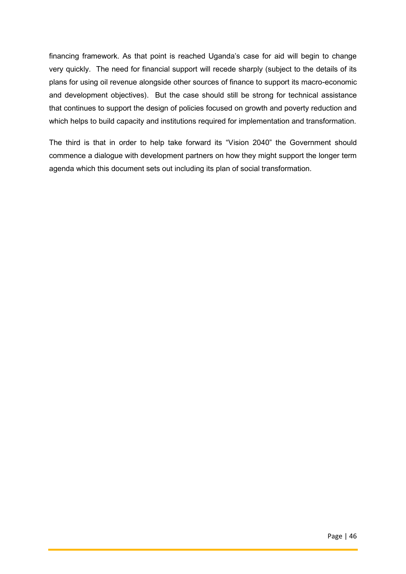financing framework. As that point is reached Uganda's case for aid will begin to change very quickly. The need for financial support will recede sharply (subject to the details of its plans for using oil revenue alongside other sources of finance to support its macro-economic and development objectives). But the case should still be strong for technical assistance that continues to support the design of policies focused on growth and poverty reduction and which helps to build capacity and institutions required for implementation and transformation.

The third is that in order to help take forward its "Vision 2040" the Government should commence a dialogue with development partners on how they might support the longer term agenda which this document sets out including its plan of social transformation.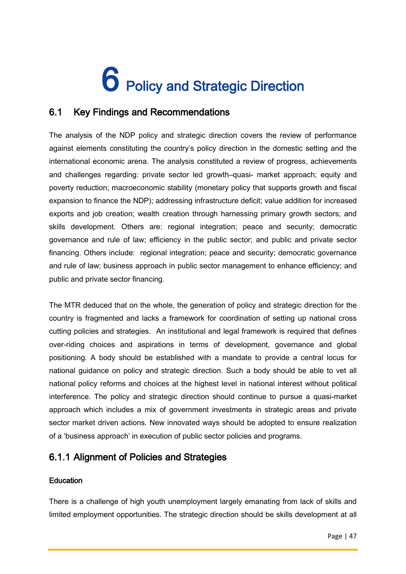# 6 Policy and Strategic Direction

# 6.1 Key Findings and Recommendations

The analysis of the NDP policy and strategic direction covers the review of performance against elements constituting the country's policy direction in the domestic setting and the international economic arena. The analysis constituted a review of progress, achievements and challenges regarding: private sector led growth–quasi- market approach; equity and poverty reduction; macroeconomic stability (monetary policy that supports growth and fiscal expansion to finance the NDP); addressing infrastructure deficit; value addition for increased exports and job creation; wealth creation through harnessing primary growth sectors; and skills development. Others are: regional integration; peace and security; democratic governance and rule of law; efficiency in the public sector; and public and private sector financing. Others include: regional integration; peace and security; democratic governance and rule of law; business approach in public sector management to enhance efficiency; and public and private sector financing.

The MTR deduced that on the whole, the generation of policy and strategic direction for the country is fragmented and lacks a framework for coordination of setting up national cross cutting policies and strategies. An institutional and legal framework is required that defines over-riding choices and aspirations in terms of development, governance and global positioning. A body should be established with a mandate to provide a central locus for national guidance on policy and strategic direction. Such a body should be able to vet all national policy reforms and choices at the highest level in national interest without political interference. The policy and strategic direction should continue to pursue a quasi-market approach which includes a mix of government investments in strategic areas and private sector market driven actions. New innovated ways should be adopted to ensure realization of a 'business approach' in execution of public sector policies and programs.

# 6.1.1 Alignment of Policies and Strategies

# **Education**

There is a challenge of high youth unemployment largely emanating from lack of skills and limited employment opportunities. The strategic direction should be skills development at all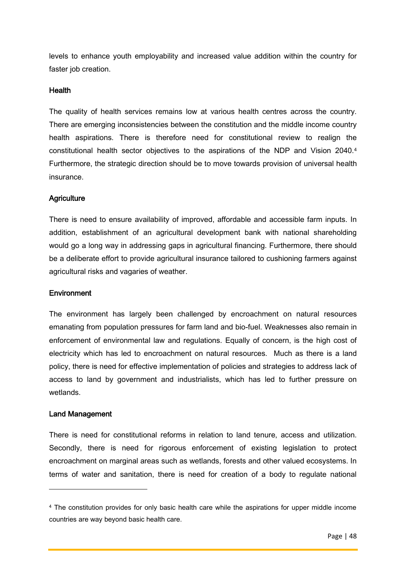levels to enhance youth employability and increased value addition within the country for faster job creation.

### Health

The quality of health services remains low at various health centres across the country. There are emerging inconsistencies between the constitution and the middle income country health aspirations. There is therefore need for constitutional review to realign the constitutional health sector objectives to the aspirations of the NDP and Vision 2040.<sup>4</sup> Furthermore, the strategic direction should be to move towards provision of universal health insurance.

# **Agriculture**

There is need to ensure availability of improved, affordable and accessible farm inputs. In addition, establishment of an agricultural development bank with national shareholding would go a long way in addressing gaps in agricultural financing. Furthermore, there should be a deliberate effort to provide agricultural insurance tailored to cushioning farmers against agricultural risks and vagaries of weather.

### **Environment**

The environment has largely been challenged by encroachment on natural resources emanating from population pressures for farm land and bio-fuel. Weaknesses also remain in enforcement of environmental law and regulations. Equally of concern, is the high cost of electricity which has led to encroachment on natural resources. Much as there is a land policy, there is need for effective implementation of policies and strategies to address lack of access to land by government and industrialists, which has led to further pressure on wetlands.

### Land Management

 $\overline{a}$ 

There is need for constitutional reforms in relation to land tenure, access and utilization. Secondly, there is need for rigorous enforcement of existing legislation to protect encroachment on marginal areas such as wetlands, forests and other valued ecosystems. In terms of water and sanitation, there is need for creation of a body to regulate national

<sup>&</sup>lt;sup>4</sup> The constitution provides for only basic health care while the aspirations for upper middle income countries are way beyond basic health care.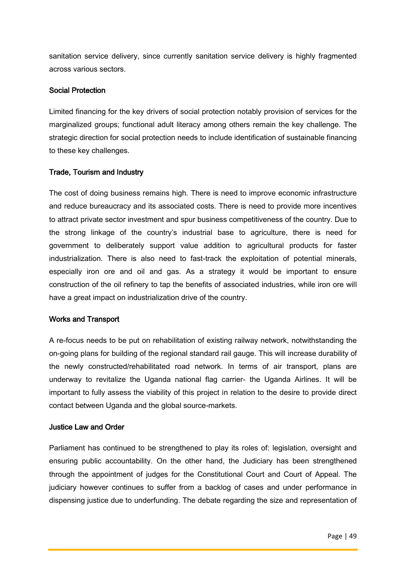sanitation service delivery, since currently sanitation service delivery is highly fragmented across various sectors.

# Social Protection

Limited financing for the key drivers of social protection notably provision of services for the marginalized groups; functional adult literacy among others remain the key challenge. The strategic direction for social protection needs to include identification of sustainable financing to these key challenges.

# Trade, Tourism and Industry

The cost of doing business remains high. There is need to improve economic infrastructure and reduce bureaucracy and its associated costs. There is need to provide more incentives to attract private sector investment and spur business competitiveness of the country. Due to the strong linkage of the country's industrial base to agriculture, there is need for government to deliberately support value addition to agricultural products for faster industrialization. There is also need to fast-track the exploitation of potential minerals, especially iron ore and oil and gas. As a strategy it would be important to ensure construction of the oil refinery to tap the benefits of associated industries, while iron ore will have a great impact on industrialization drive of the country.

# Works and Transport

A re-focus needs to be put on rehabilitation of existing railway network, notwithstanding the on-going plans for building of the regional standard rail gauge. This will increase durability of the newly constructed/rehabilitated road network. In terms of air transport, plans are underway to revitalize the Uganda national flag carrier- the Uganda Airlines. It will be important to fully assess the viability of this project in relation to the desire to provide direct contact between Uganda and the global source-markets.

### Justice Law and Order

Parliament has continued to be strengthened to play its roles of: legislation, oversight and ensuring public accountability. On the other hand, the Judiciary has been strengthened through the appointment of judges for the Constitutional Court and Court of Appeal. The judiciary however continues to suffer from a backlog of cases and under performance in dispensing justice due to underfunding. The debate regarding the size and representation of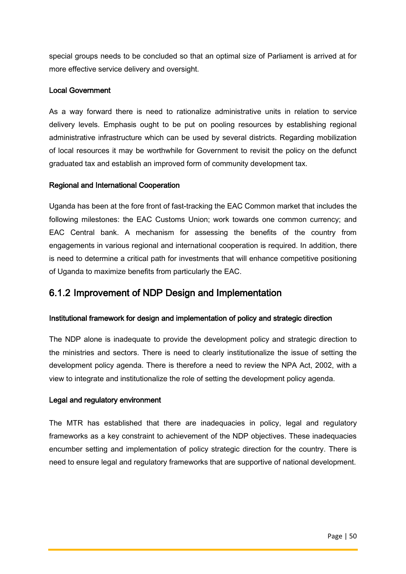special groups needs to be concluded so that an optimal size of Parliament is arrived at for more effective service delivery and oversight.

# Local Government

As a way forward there is need to rationalize administrative units in relation to service delivery levels. Emphasis ought to be put on pooling resources by establishing regional administrative infrastructure which can be used by several districts. Regarding mobilization of local resources it may be worthwhile for Government to revisit the policy on the defunct graduated tax and establish an improved form of community development tax.

# Regional and International Cooperation

Uganda has been at the fore front of fast-tracking the EAC Common market that includes the following milestones: the EAC Customs Union; work towards one common currency; and EAC Central bank. A mechanism for assessing the benefits of the country from engagements in various regional and international cooperation is required. In addition, there is need to determine a critical path for investments that will enhance competitive positioning of Uganda to maximize benefits from particularly the EAC.

# 6.1.2 Improvement of NDP Design and Implementation

### Institutional framework for design and implementation of policy and strategic direction

The NDP alone is inadequate to provide the development policy and strategic direction to the ministries and sectors. There is need to clearly institutionalize the issue of setting the development policy agenda. There is therefore a need to review the NPA Act, 2002, with a view to integrate and institutionalize the role of setting the development policy agenda.

### Legal and regulatory environment

The MTR has established that there are inadequacies in policy, legal and regulatory frameworks as a key constraint to achievement of the NDP objectives. These inadequacies encumber setting and implementation of policy strategic direction for the country. There is need to ensure legal and regulatory frameworks that are supportive of national development.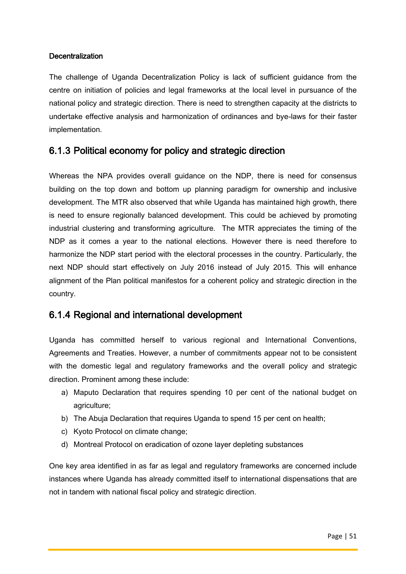# **Decentralization**

The challenge of Uganda Decentralization Policy is lack of sufficient guidance from the centre on initiation of policies and legal frameworks at the local level in pursuance of the national policy and strategic direction. There is need to strengthen capacity at the districts to undertake effective analysis and harmonization of ordinances and bye-laws for their faster implementation.

# 6.1.3 Political economy for policy and strategic direction

Whereas the NPA provides overall guidance on the NDP, there is need for consensus building on the top down and bottom up planning paradigm for ownership and inclusive development. The MTR also observed that while Uganda has maintained high growth, there is need to ensure regionally balanced development. This could be achieved by promoting industrial clustering and transforming agriculture. The MTR appreciates the timing of the NDP as it comes a year to the national elections. However there is need therefore to harmonize the NDP start period with the electoral processes in the country. Particularly, the next NDP should start effectively on July 2016 instead of July 2015. This will enhance alignment of the Plan political manifestos for a coherent policy and strategic direction in the country.

# 6.1.4 Regional and international development

Uganda has committed herself to various regional and International Conventions, Agreements and Treaties. However, a number of commitments appear not to be consistent with the domestic legal and regulatory frameworks and the overall policy and strategic direction. Prominent among these include:

- a) Maputo Declaration that requires spending 10 per cent of the national budget on agriculture;
- b) The Abuja Declaration that requires Uganda to spend 15 per cent on health;
- c) Kyoto Protocol on climate change;
- d) Montreal Protocol on eradication of ozone layer depleting substances

One key area identified in as far as legal and regulatory frameworks are concerned include instances where Uganda has already committed itself to international dispensations that are not in tandem with national fiscal policy and strategic direction.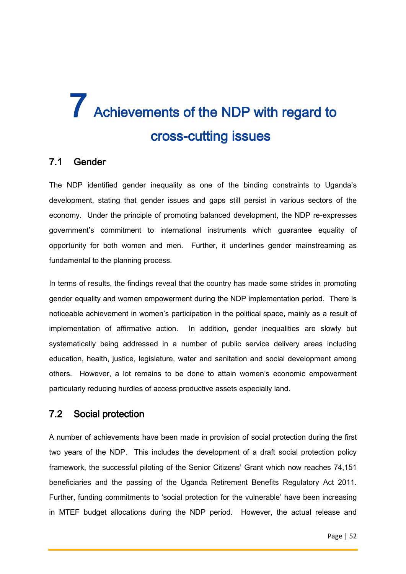# 7 Achievements of the NDP with regard to cross-cutting issues

# 7.1 Gender

The NDP identified gender inequality as one of the binding constraints to Uganda's development, stating that gender issues and gaps still persist in various sectors of the economy. Under the principle of promoting balanced development, the NDP re-expresses government's commitment to international instruments which guarantee equality of opportunity for both women and men. Further, it underlines gender mainstreaming as fundamental to the planning process.

In terms of results, the findings reveal that the country has made some strides in promoting gender equality and women empowerment during the NDP implementation period. There is noticeable achievement in women's participation in the political space, mainly as a result of implementation of affirmative action. In addition, gender inequalities are slowly but systematically being addressed in a number of public service delivery areas including education, health, justice, legislature, water and sanitation and social development among others. However, a lot remains to be done to attain women's economic empowerment particularly reducing hurdles of access productive assets especially land.

# 7.2 Social protection

A number of achievements have been made in provision of social protection during the first two years of the NDP. This includes the development of a draft social protection policy framework, the successful piloting of the Senior Citizens' Grant which now reaches 74,151 beneficiaries and the passing of the Uganda Retirement Benefits Regulatory Act 2011. Further, funding commitments to 'social protection for the vulnerable' have been increasing in MTEF budget allocations during the NDP period. However, the actual release and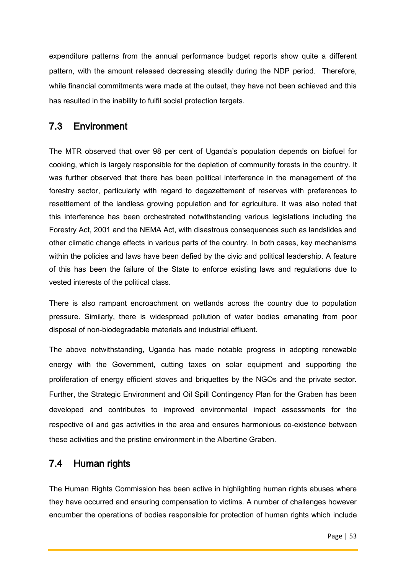expenditure patterns from the annual performance budget reports show quite a different pattern, with the amount released decreasing steadily during the NDP period. Therefore, while financial commitments were made at the outset, they have not been achieved and this has resulted in the inability to fulfil social protection targets.

# 7.3 Environment

The MTR observed that over 98 per cent of Uganda's population depends on biofuel for cooking, which is largely responsible for the depletion of community forests in the country. It was further observed that there has been political interference in the management of the forestry sector, particularly with regard to degazettement of reserves with preferences to resettlement of the landless growing population and for agriculture. It was also noted that this interference has been orchestrated notwithstanding various legislations including the Forestry Act, 2001 and the NEMA Act, with disastrous consequences such as landslides and other climatic change effects in various parts of the country. In both cases, key mechanisms within the policies and laws have been defied by the civic and political leadership. A feature of this has been the failure of the State to enforce existing laws and regulations due to vested interests of the political class.

There is also rampant encroachment on wetlands across the country due to population pressure. Similarly, there is widespread pollution of water bodies emanating from poor disposal of non-biodegradable materials and industrial effluent.

The above notwithstanding, Uganda has made notable progress in adopting renewable energy with the Government, cutting taxes on solar equipment and supporting the proliferation of energy efficient stoves and briquettes by the NGOs and the private sector. Further, the Strategic Environment and Oil Spill Contingency Plan for the Graben has been developed and contributes to improved environmental impact assessments for the respective oil and gas activities in the area and ensures harmonious co-existence between these activities and the pristine environment in the Albertine Graben.

# 7.4 Human rights

The Human Rights Commission has been active in highlighting human rights abuses where they have occurred and ensuring compensation to victims. A number of challenges however encumber the operations of bodies responsible for protection of human rights which include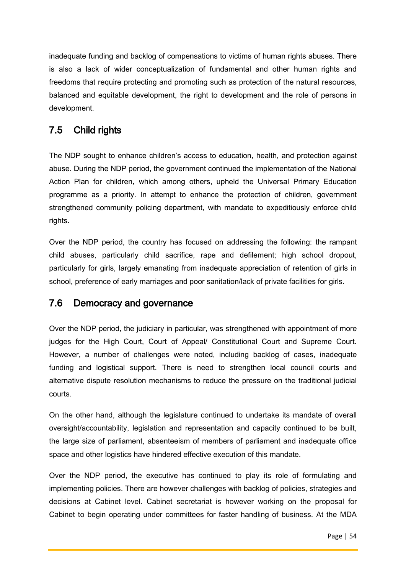inadequate funding and backlog of compensations to victims of human rights abuses. There is also a lack of wider conceptualization of fundamental and other human rights and freedoms that require protecting and promoting such as protection of the natural resources, balanced and equitable development, the right to development and the role of persons in development.

# 7.5 Child rights

The NDP sought to enhance children's access to education, health, and protection against abuse. During the NDP period, the government continued the implementation of the National Action Plan for children, which among others, upheld the Universal Primary Education programme as a priority. In attempt to enhance the protection of children, government strengthened community policing department, with mandate to expeditiously enforce child rights.

Over the NDP period, the country has focused on addressing the following: the rampant child abuses, particularly child sacrifice, rape and defilement; high school dropout, particularly for girls, largely emanating from inadequate appreciation of retention of girls in school, preference of early marriages and poor sanitation/lack of private facilities for girls.

# 7.6 Democracy and governance

Over the NDP period, the judiciary in particular, was strengthened with appointment of more judges for the High Court, Court of Appeal/ Constitutional Court and Supreme Court. However, a number of challenges were noted, including backlog of cases, inadequate funding and logistical support. There is need to strengthen local council courts and alternative dispute resolution mechanisms to reduce the pressure on the traditional judicial courts.

On the other hand, although the legislature continued to undertake its mandate of overall oversight/accountability, legislation and representation and capacity continued to be built, the large size of parliament, absenteeism of members of parliament and inadequate office space and other logistics have hindered effective execution of this mandate.

Over the NDP period, the executive has continued to play its role of formulating and implementing policies. There are however challenges with backlog of policies, strategies and decisions at Cabinet level. Cabinet secretariat is however working on the proposal for Cabinet to begin operating under committees for faster handling of business. At the MDA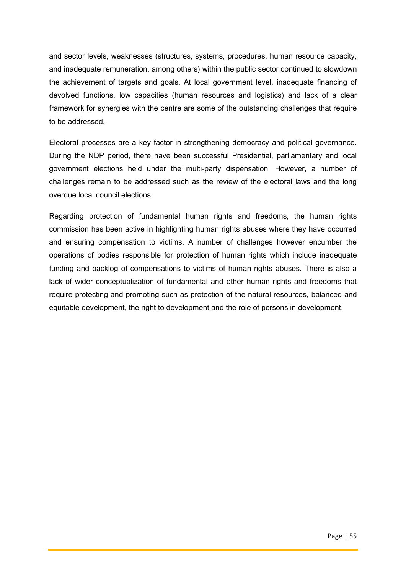and sector levels, weaknesses (structures, systems, procedures, human resource capacity, and inadequate remuneration, among others) within the public sector continued to slowdown the achievement of targets and goals. At local government level, inadequate financing of devolved functions, low capacities (human resources and logistics) and lack of a clear framework for synergies with the centre are some of the outstanding challenges that require to be addressed.

Electoral processes are a key factor in strengthening democracy and political governance. During the NDP period, there have been successful Presidential, parliamentary and local government elections held under the multi-party dispensation. However, a number of challenges remain to be addressed such as the review of the electoral laws and the long overdue local council elections.

Regarding protection of fundamental human rights and freedoms, the human rights commission has been active in highlighting human rights abuses where they have occurred and ensuring compensation to victims. A number of challenges however encumber the operations of bodies responsible for protection of human rights which include inadequate funding and backlog of compensations to victims of human rights abuses. There is also a lack of wider conceptualization of fundamental and other human rights and freedoms that require protecting and promoting such as protection of the natural resources, balanced and equitable development, the right to development and the role of persons in development.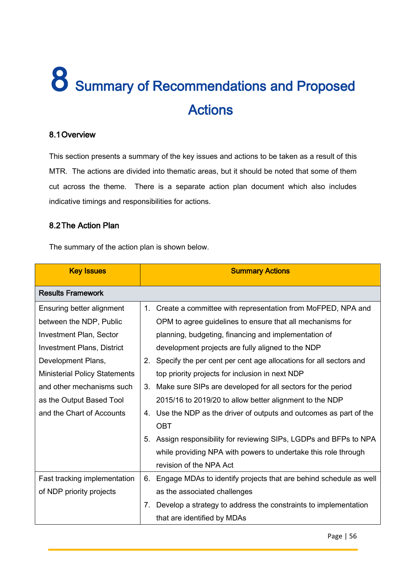# 8 Summary of Recommendations and Proposed Actions

# 8.1Overview

This section presents a summary of the key issues and actions to be taken as a result of this MTR. The actions are divided into thematic areas, but it should be noted that some of them cut across the theme. There is a separate action plan document which also includes indicative timings and responsibilities for actions.

# 8.2The Action Plan

The summary of the action plan is shown below.

| <b>Key Issues</b>                    |             | <b>Summary Actions</b>                                            |
|--------------------------------------|-------------|-------------------------------------------------------------------|
| <b>Results Framework</b>             |             |                                                                   |
| Ensuring better alignment            | 1.          | Create a committee with representation from MoFPED, NPA and       |
| between the NDP, Public              |             | OPM to agree guidelines to ensure that all mechanisms for         |
| <b>Investment Plan, Sector</b>       |             | planning, budgeting, financing and implementation of              |
| <b>Investment Plans, District</b>    |             | development projects are fully aligned to the NDP                 |
| Development Plans,                   | $2_{\cdot}$ | Specify the per cent per cent age allocations for all sectors and |
| <b>Ministerial Policy Statements</b> |             | top priority projects for inclusion in next NDP                   |
| and other mechanisms such            | 3.          | Make sure SIPs are developed for all sectors for the period       |
| as the Output Based Tool             |             | 2015/16 to 2019/20 to allow better alignment to the NDP           |
| and the Chart of Accounts            | 4.          | Use the NDP as the driver of outputs and outcomes as part of the  |
|                                      |             | <b>OBT</b>                                                        |
|                                      | 5.          | Assign responsibility for reviewing SIPs, LGDPs and BFPs to NPA   |
|                                      |             | while providing NPA with powers to undertake this role through    |
|                                      |             | revision of the NPA Act                                           |
| Fast tracking implementation         | 6.          | Engage MDAs to identify projects that are behind schedule as well |
| of NDP priority projects             |             | as the associated challenges                                      |
|                                      | 7.          | Develop a strategy to address the constraints to implementation   |
|                                      |             | that are identified by MDAs                                       |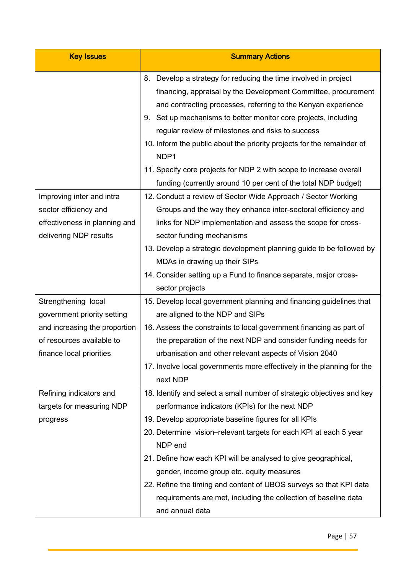| <b>Key Issues</b>                                                                                                                            | <b>Summary Actions</b>                                                                                                                                                                                                                                                                                                                                                                                                                                                                                                                                     |
|----------------------------------------------------------------------------------------------------------------------------------------------|------------------------------------------------------------------------------------------------------------------------------------------------------------------------------------------------------------------------------------------------------------------------------------------------------------------------------------------------------------------------------------------------------------------------------------------------------------------------------------------------------------------------------------------------------------|
|                                                                                                                                              | Develop a strategy for reducing the time involved in project<br>8.<br>financing, appraisal by the Development Committee, procurement<br>and contracting processes, referring to the Kenyan experience<br>Set up mechanisms to better monitor core projects, including<br>9.<br>regular review of milestones and risks to success<br>10. Inform the public about the priority projects for the remainder of<br>NDP1<br>11. Specify core projects for NDP 2 with scope to increase overall<br>funding (currently around 10 per cent of the total NDP budget) |
| Improving inter and intra<br>sector efficiency and<br>effectiveness in planning and<br>delivering NDP results                                | 12. Conduct a review of Sector Wide Approach / Sector Working<br>Groups and the way they enhance inter-sectoral efficiency and<br>links for NDP implementation and assess the scope for cross-<br>sector funding mechanisms<br>13. Develop a strategic development planning guide to be followed by<br>MDAs in drawing up their SIPs<br>14. Consider setting up a Fund to finance separate, major cross-<br>sector projects                                                                                                                                |
| Strengthening local<br>government priority setting<br>and increasing the proportion<br>of resources available to<br>finance local priorities | 15. Develop local government planning and financing guidelines that<br>are aligned to the NDP and SIPs<br>16. Assess the constraints to local government financing as part of<br>the preparation of the next NDP and consider funding needs for<br>urbanisation and other relevant aspects of Vision 2040<br>17. Involve local governments more effectively in the planning for the<br>next NDP                                                                                                                                                            |
| Refining indicators and<br>targets for measuring NDP<br>progress                                                                             | 18. Identify and select a small number of strategic objectives and key<br>performance indicators (KPIs) for the next NDP<br>19. Develop appropriate baseline figures for all KPIs<br>20. Determine vision-relevant targets for each KPI at each 5 year<br>NDP end<br>21. Define how each KPI will be analysed to give geographical,<br>gender, income group etc. equity measures<br>22. Refine the timing and content of UBOS surveys so that KPI data<br>requirements are met, including the collection of baseline data<br>and annual data               |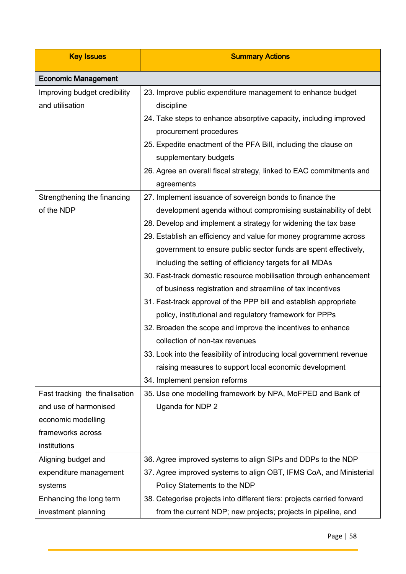| <b>Key Issues</b>                               | <b>Summary Actions</b>                                                                                                                         |
|-------------------------------------------------|------------------------------------------------------------------------------------------------------------------------------------------------|
| <b>Economic Management</b>                      |                                                                                                                                                |
| Improving budget credibility<br>and utilisation | 23. Improve public expenditure management to enhance budget<br>discipline<br>24. Take steps to enhance absorptive capacity, including improved |
|                                                 | procurement procedures                                                                                                                         |
|                                                 | 25. Expedite enactment of the PFA Bill, including the clause on                                                                                |
|                                                 | supplementary budgets                                                                                                                          |
|                                                 | 26. Agree an overall fiscal strategy, linked to EAC commitments and                                                                            |
|                                                 | agreements                                                                                                                                     |
| Strengthening the financing                     | 27. Implement issuance of sovereign bonds to finance the                                                                                       |
| of the NDP                                      | development agenda without compromising sustainability of debt                                                                                 |
|                                                 | 28. Develop and implement a strategy for widening the tax base                                                                                 |
|                                                 | 29. Establish an efficiency and value for money programme across                                                                               |
|                                                 | government to ensure public sector funds are spent effectively,                                                                                |
|                                                 | including the setting of efficiency targets for all MDAs                                                                                       |
|                                                 | 30. Fast-track domestic resource mobilisation through enhancement                                                                              |
|                                                 | of business registration and streamline of tax incentives                                                                                      |
|                                                 | 31. Fast-track approval of the PPP bill and establish appropriate                                                                              |
|                                                 | policy, institutional and regulatory framework for PPPs                                                                                        |
|                                                 | 32. Broaden the scope and improve the incentives to enhance                                                                                    |
|                                                 | collection of non-tax revenues                                                                                                                 |
|                                                 | 33. Look into the feasibility of introducing local government revenue                                                                          |
|                                                 | raising measures to support local economic development                                                                                         |
|                                                 | 34. Implement pension reforms                                                                                                                  |
| Fast tracking the finalisation                  | 35. Use one modelling framework by NPA, MoFPED and Bank of                                                                                     |
| and use of harmonised                           | Uganda for NDP 2                                                                                                                               |
| economic modelling                              |                                                                                                                                                |
| frameworks across                               |                                                                                                                                                |
| institutions                                    |                                                                                                                                                |
| Aligning budget and                             | 36. Agree improved systems to align SIPs and DDPs to the NDP                                                                                   |
| expenditure management                          | 37. Agree improved systems to align OBT, IFMS CoA, and Ministerial                                                                             |
| systems                                         | Policy Statements to the NDP                                                                                                                   |
| Enhancing the long term                         | 38. Categorise projects into different tiers: projects carried forward                                                                         |
| investment planning                             | from the current NDP; new projects; projects in pipeline, and                                                                                  |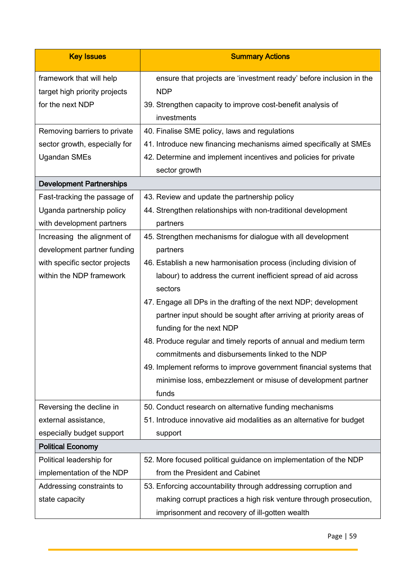| <b>Key Issues</b>                                         | <b>Summary Actions</b>                                                            |
|-----------------------------------------------------------|-----------------------------------------------------------------------------------|
| framework that will help<br>target high priority projects | ensure that projects are 'investment ready' before inclusion in the<br><b>NDP</b> |
| for the next NDP                                          | 39. Strengthen capacity to improve cost-benefit analysis of                       |
|                                                           | investments                                                                       |
| Removing barriers to private                              | 40. Finalise SME policy, laws and regulations                                     |
| sector growth, especially for                             | 41. Introduce new financing mechanisms aimed specifically at SMEs                 |
| <b>Ugandan SMEs</b>                                       | 42. Determine and implement incentives and policies for private                   |
|                                                           | sector growth                                                                     |
| <b>Development Partnerships</b>                           |                                                                                   |
| Fast-tracking the passage of                              | 43. Review and update the partnership policy                                      |
| Uganda partnership policy                                 | 44. Strengthen relationships with non-traditional development                     |
| with development partners                                 | partners                                                                          |
| Increasing the alignment of                               | 45. Strengthen mechanisms for dialogue with all development                       |
| development partner funding                               | partners                                                                          |
| with specific sector projects                             | 46. Establish a new harmonisation process (including division of                  |
| within the NDP framework                                  | labour) to address the current inefficient spread of aid across<br>sectors        |
|                                                           | 47. Engage all DPs in the drafting of the next NDP; development                   |
|                                                           | partner input should be sought after arriving at priority areas of                |
|                                                           | funding for the next NDP                                                          |
|                                                           | 48. Produce regular and timely reports of annual and medium term                  |
|                                                           | commitments and disbursements linked to the NDP                                   |
|                                                           | 49. Implement reforms to improve government financial systems that                |
|                                                           | minimise loss, embezzlement or misuse of development partner                      |
|                                                           | funds                                                                             |
| Reversing the decline in                                  | 50. Conduct research on alternative funding mechanisms                            |
| external assistance,                                      | 51. Introduce innovative aid modalities as an alternative for budget              |
| especially budget support                                 | support                                                                           |
| <b>Political Economy</b>                                  |                                                                                   |
| Political leadership for                                  | 52. More focused political guidance on implementation of the NDP                  |
| implementation of the NDP                                 | from the President and Cabinet                                                    |
| Addressing constraints to                                 | 53. Enforcing accountability through addressing corruption and                    |
| state capacity                                            | making corrupt practices a high risk venture through prosecution,                 |
|                                                           | imprisonment and recovery of ill-gotten wealth                                    |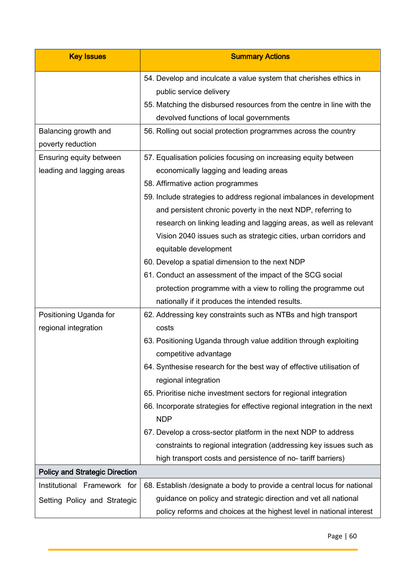| <b>Key Issues</b>                     | <b>Summary Actions</b>                                                                                     |
|---------------------------------------|------------------------------------------------------------------------------------------------------------|
|                                       | 54. Develop and inculcate a value system that cherishes ethics in<br>public service delivery               |
|                                       | 55. Matching the disbursed resources from the centre in line with the                                      |
| Balancing growth and                  | devolved functions of local governments<br>56. Rolling out social protection programmes across the country |
| poverty reduction                     |                                                                                                            |
| Ensuring equity between               | 57. Equalisation policies focusing on increasing equity between                                            |
| leading and lagging areas             | economically lagging and leading areas                                                                     |
|                                       | 58. Affirmative action programmes                                                                          |
|                                       | 59. Include strategies to address regional imbalances in development                                       |
|                                       | and persistent chronic poverty in the next NDP, referring to                                               |
|                                       | research on linking leading and lagging areas, as well as relevant                                         |
|                                       | Vision 2040 issues such as strategic cities, urban corridors and                                           |
|                                       | equitable development                                                                                      |
|                                       | 60. Develop a spatial dimension to the next NDP                                                            |
|                                       | 61. Conduct an assessment of the impact of the SCG social                                                  |
|                                       | protection programme with a view to rolling the programme out                                              |
|                                       | nationally if it produces the intended results.                                                            |
| Positioning Uganda for                | 62. Addressing key constraints such as NTBs and high transport                                             |
| regional integration                  | costs                                                                                                      |
|                                       | 63. Positioning Uganda through value addition through exploiting                                           |
|                                       | competitive advantage                                                                                      |
|                                       | 64. Synthesise research for the best way of effective utilisation of                                       |
|                                       | regional integration                                                                                       |
|                                       | 65. Prioritise niche investment sectors for regional integration                                           |
|                                       | 66. Incorporate strategies for effective regional integration in the next<br><b>NDP</b>                    |
|                                       | 67. Develop a cross-sector platform in the next NDP to address                                             |
|                                       | constraints to regional integration (addressing key issues such as                                         |
|                                       | high transport costs and persistence of no-tariff barriers)                                                |
| <b>Policy and Strategic Direction</b> |                                                                                                            |
| Institutional Framework for           | 68. Establish / designate a body to provide a central locus for national                                   |
| Setting Policy and Strategic          | guidance on policy and strategic direction and vet all national                                            |
|                                       | policy reforms and choices at the highest level in national interest                                       |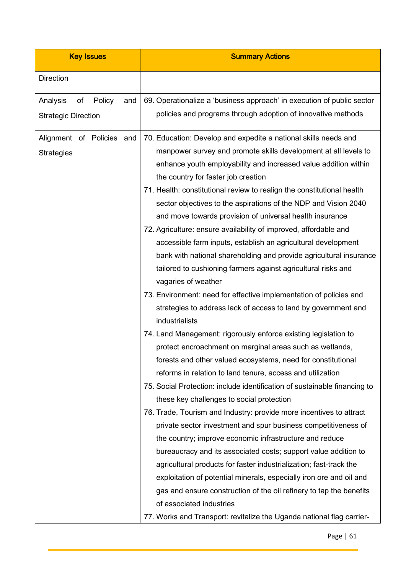| <b>Key Issues</b>                                             | <b>Summary Actions</b>                                                                                                                                                                                                                                                                                                                                                                                                                                                                                                                                                                                                                                                                                                                                                                                                                                                                                                                                                                                                                                                                                                                                                                                                                                                                                                                                                                                                                                                                                                                                                                                                                                                                                                                                                                                                           |
|---------------------------------------------------------------|----------------------------------------------------------------------------------------------------------------------------------------------------------------------------------------------------------------------------------------------------------------------------------------------------------------------------------------------------------------------------------------------------------------------------------------------------------------------------------------------------------------------------------------------------------------------------------------------------------------------------------------------------------------------------------------------------------------------------------------------------------------------------------------------------------------------------------------------------------------------------------------------------------------------------------------------------------------------------------------------------------------------------------------------------------------------------------------------------------------------------------------------------------------------------------------------------------------------------------------------------------------------------------------------------------------------------------------------------------------------------------------------------------------------------------------------------------------------------------------------------------------------------------------------------------------------------------------------------------------------------------------------------------------------------------------------------------------------------------------------------------------------------------------------------------------------------------|
| <b>Direction</b>                                              |                                                                                                                                                                                                                                                                                                                                                                                                                                                                                                                                                                                                                                                                                                                                                                                                                                                                                                                                                                                                                                                                                                                                                                                                                                                                                                                                                                                                                                                                                                                                                                                                                                                                                                                                                                                                                                  |
| Analysis<br>of<br>Policy<br>and<br><b>Strategic Direction</b> | 69. Operationalize a 'business approach' in execution of public sector<br>policies and programs through adoption of innovative methods                                                                                                                                                                                                                                                                                                                                                                                                                                                                                                                                                                                                                                                                                                                                                                                                                                                                                                                                                                                                                                                                                                                                                                                                                                                                                                                                                                                                                                                                                                                                                                                                                                                                                           |
| Alignment of Policies and<br><b>Strategies</b>                | 70. Education: Develop and expedite a national skills needs and<br>manpower survey and promote skills development at all levels to<br>enhance youth employability and increased value addition within<br>the country for faster job creation<br>71. Health: constitutional review to realign the constitutional health<br>sector objectives to the aspirations of the NDP and Vision 2040<br>and move towards provision of universal health insurance<br>72. Agriculture: ensure availability of improved, affordable and<br>accessible farm inputs, establish an agricultural development<br>bank with national shareholding and provide agricultural insurance<br>tailored to cushioning farmers against agricultural risks and<br>vagaries of weather<br>73. Environment: need for effective implementation of policies and<br>strategies to address lack of access to land by government and<br>industrialists<br>74. Land Management: rigorously enforce existing legislation to<br>protect encroachment on marginal areas such as wetlands,<br>forests and other valued ecosystems, need for constitutional<br>reforms in relation to land tenure, access and utilization<br>75. Social Protection: include identification of sustainable financing to<br>these key challenges to social protection<br>76. Trade, Tourism and Industry: provide more incentives to attract<br>private sector investment and spur business competitiveness of<br>the country; improve economic infrastructure and reduce<br>bureaucracy and its associated costs; support value addition to<br>agricultural products for faster industrialization; fast-track the<br>exploitation of potential minerals, especially iron ore and oil and<br>gas and ensure construction of the oil refinery to tap the benefits<br>of associated industries |
|                                                               | 77. Works and Transport: revitalize the Uganda national flag carrier-                                                                                                                                                                                                                                                                                                                                                                                                                                                                                                                                                                                                                                                                                                                                                                                                                                                                                                                                                                                                                                                                                                                                                                                                                                                                                                                                                                                                                                                                                                                                                                                                                                                                                                                                                            |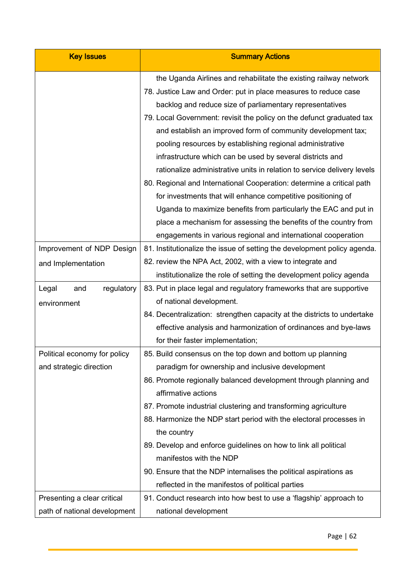| <b>Key Issues</b>                                           | <b>Summary Actions</b>                                                                                                                                                                                                                                                                                                                                                                                                                                                                                                                                                                                                                                                                                                                                      |
|-------------------------------------------------------------|-------------------------------------------------------------------------------------------------------------------------------------------------------------------------------------------------------------------------------------------------------------------------------------------------------------------------------------------------------------------------------------------------------------------------------------------------------------------------------------------------------------------------------------------------------------------------------------------------------------------------------------------------------------------------------------------------------------------------------------------------------------|
|                                                             | the Uganda Airlines and rehabilitate the existing railway network<br>78. Justice Law and Order: put in place measures to reduce case<br>backlog and reduce size of parliamentary representatives<br>79. Local Government: revisit the policy on the defunct graduated tax<br>and establish an improved form of community development tax;<br>pooling resources by establishing regional administrative<br>infrastructure which can be used by several districts and<br>rationalize administrative units in relation to service delivery levels<br>80. Regional and International Cooperation: determine a critical path<br>for investments that will enhance competitive positioning of<br>Uganda to maximize benefits from particularly the EAC and put in |
|                                                             | place a mechanism for assessing the benefits of the country from<br>engagements in various regional and international cooperation                                                                                                                                                                                                                                                                                                                                                                                                                                                                                                                                                                                                                           |
| Improvement of NDP Design<br>and Implementation             | 81. Institutionalize the issue of setting the development policy agenda.<br>82. review the NPA Act, 2002, with a view to integrate and<br>institutionalize the role of setting the development policy agenda                                                                                                                                                                                                                                                                                                                                                                                                                                                                                                                                                |
| regulatory<br>Legal<br>and<br>environment                   | 83. Put in place legal and regulatory frameworks that are supportive<br>of national development.<br>84. Decentralization: strengthen capacity at the districts to undertake<br>effective analysis and harmonization of ordinances and bye-laws<br>for their faster implementation;                                                                                                                                                                                                                                                                                                                                                                                                                                                                          |
| Political economy for policy<br>and strategic direction     | 85. Build consensus on the top down and bottom up planning<br>paradigm for ownership and inclusive development<br>86. Promote regionally balanced development through planning and<br>affirmative actions<br>87. Promote industrial clustering and transforming agriculture<br>88. Harmonize the NDP start period with the electoral processes in<br>the country<br>89. Develop and enforce guidelines on how to link all political<br>manifestos with the NDP<br>90. Ensure that the NDP internalises the political aspirations as<br>reflected in the manifestos of political parties                                                                                                                                                                     |
| Presenting a clear critical<br>path of national development | 91. Conduct research into how best to use a 'flagship' approach to<br>national development                                                                                                                                                                                                                                                                                                                                                                                                                                                                                                                                                                                                                                                                  |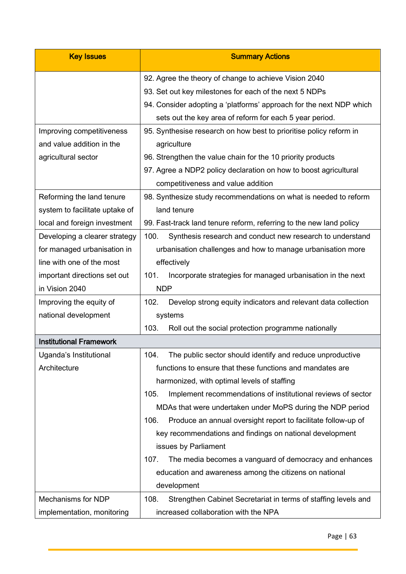| <b>Key Issues</b>              | <b>Summary Actions</b>                                                 |
|--------------------------------|------------------------------------------------------------------------|
|                                | 92. Agree the theory of change to achieve Vision 2040                  |
|                                | 93. Set out key milestones for each of the next 5 NDPs                 |
|                                | 94. Consider adopting a 'platforms' approach for the next NDP which    |
|                                | sets out the key area of reform for each 5 year period.                |
| Improving competitiveness      | 95. Synthesise research on how best to prioritise policy reform in     |
| and value addition in the      | agriculture                                                            |
| agricultural sector            | 96. Strengthen the value chain for the 10 priority products            |
|                                | 97. Agree a NDP2 policy declaration on how to boost agricultural       |
|                                | competitiveness and value addition                                     |
| Reforming the land tenure      | 98. Synthesize study recommendations on what is needed to reform       |
| system to facilitate uptake of | land tenure                                                            |
| local and foreign investment   | 99. Fast-track land tenure reform, referring to the new land policy    |
| Developing a clearer strategy  | Synthesis research and conduct new research to understand<br>100.      |
| for managed urbanisation in    | urbanisation challenges and how to manage urbanisation more            |
| line with one of the most      | effectively                                                            |
| important directions set out   | 101.<br>Incorporate strategies for managed urbanisation in the next    |
| in Vision 2040                 | <b>NDP</b>                                                             |
| Improving the equity of        | Develop strong equity indicators and relevant data collection<br>102.  |
| national development           | systems                                                                |
|                                | 103.<br>Roll out the social protection programme nationally            |
| <b>Institutional Framework</b> |                                                                        |
| Uganda's Institutional         | 104.<br>The public sector should identify and reduce unproductive      |
| Architecture                   | functions to ensure that these functions and mandates are              |
|                                | harmonized, with optimal levels of staffing                            |
|                                | Implement recommendations of institutional reviews of sector<br>105.   |
|                                | MDAs that were undertaken under MoPS during the NDP period             |
|                                | 106.<br>Produce an annual oversight report to facilitate follow-up of  |
|                                | key recommendations and findings on national development               |
|                                | issues by Parliament                                                   |
|                                | 107.<br>The media becomes a vanguard of democracy and enhances         |
|                                | education and awareness among the citizens on national                 |
|                                | development                                                            |
| Mechanisms for NDP             | 108.<br>Strengthen Cabinet Secretariat in terms of staffing levels and |
| implementation, monitoring     | increased collaboration with the NPA                                   |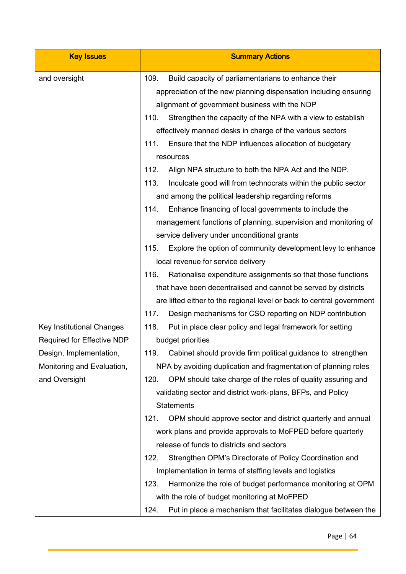| <b>Key Issues</b>                | <b>Summary Actions</b>                                                 |
|----------------------------------|------------------------------------------------------------------------|
| and oversight                    | 109.<br>Build capacity of parliamentarians to enhance their            |
|                                  | appreciation of the new planning dispensation including ensuring       |
|                                  | alignment of government business with the NDP                          |
|                                  | 110.<br>Strengthen the capacity of the NPA with a view to establish    |
|                                  | effectively manned desks in charge of the various sectors              |
|                                  | Ensure that the NDP influences allocation of budgetary<br>111.         |
|                                  | resources                                                              |
|                                  | 112.<br>Align NPA structure to both the NPA Act and the NDP.           |
|                                  | 113.<br>Inculcate good will from technocrats within the public sector  |
|                                  | and among the political leadership regarding reforms                   |
|                                  | Enhance financing of local governments to include the<br>114.          |
|                                  | management functions of planning, supervision and monitoring of        |
|                                  | service delivery under unconditional grants                            |
|                                  | Explore the option of community development levy to enhance<br>115.    |
|                                  | local revenue for service delivery                                     |
|                                  | 116.<br>Rationalise expenditure assignments so that those functions    |
|                                  | that have been decentralised and cannot be served by districts         |
|                                  | are lifted either to the regional level or back to central government  |
|                                  | 117.<br>Design mechanisms for CSO reporting on NDP contribution        |
| <b>Key Institutional Changes</b> | Put in place clear policy and legal framework for setting<br>118.      |
| Required for Effective NDP       | budget priorities                                                      |
| Design, Implementation,          | 119.<br>Cabinet should provide firm political guidance to strengthen   |
| Monitoring and Evaluation,       | NPA by avoiding duplication and fragmentation of planning roles        |
| and Oversight                    | OPM should take charge of the roles of quality assuring and<br>120.    |
|                                  | validating sector and district work-plans, BFPs, and Policy            |
|                                  | <b>Statements</b>                                                      |
|                                  | OPM should approve sector and district quarterly and annual<br>121.    |
|                                  | work plans and provide approvals to MoFPED before quarterly            |
|                                  | release of funds to districts and sectors                              |
|                                  | 122.<br>Strengthen OPM's Directorate of Policy Coordination and        |
|                                  | Implementation in terms of staffing levels and logistics               |
|                                  | Harmonize the role of budget performance monitoring at OPM<br>123.     |
|                                  | with the role of budget monitoring at MoFPED                           |
|                                  | 124.<br>Put in place a mechanism that facilitates dialogue between the |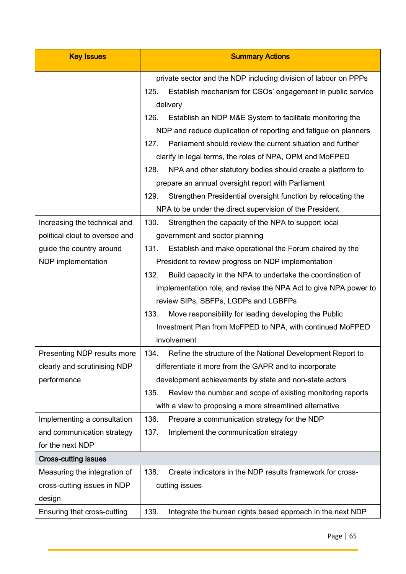| <b>Key Issues</b>                                                          | <b>Summary Actions</b>                                                                                                                                                                                                                                                                                                  |
|----------------------------------------------------------------------------|-------------------------------------------------------------------------------------------------------------------------------------------------------------------------------------------------------------------------------------------------------------------------------------------------------------------------|
|                                                                            | private sector and the NDP including division of labour on PPPs<br>Establish mechanism for CSOs' engagement in public service<br>125.<br>delivery                                                                                                                                                                       |
|                                                                            | 126.<br>Establish an NDP M&E System to facilitate monitoring the<br>NDP and reduce duplication of reporting and fatigue on planners<br>Parliament should review the current situation and further<br>127.<br>clarify in legal terms, the roles of NPA, OPM and MoFPED                                                   |
|                                                                            | 128.<br>NPA and other statutory bodies should create a platform to<br>prepare an annual oversight report with Parliament<br>129.<br>Strengthen Presidential oversight function by relocating the                                                                                                                        |
| Increasing the technical and                                               | NPA to be under the direct supervision of the President<br>130.<br>Strengthen the capacity of the NPA to support local                                                                                                                                                                                                  |
| political clout to oversee and                                             | government and sector planning                                                                                                                                                                                                                                                                                          |
| guide the country around<br>NDP implementation                             | Establish and make operational the Forum chaired by the<br>131.<br>President to review progress on NDP implementation                                                                                                                                                                                                   |
|                                                                            | 132.<br>Build capacity in the NPA to undertake the coordination of<br>implementation role, and revise the NPA Act to give NPA power to<br>review SIPs, SBFPs, LGDPs and LGBFPs                                                                                                                                          |
|                                                                            | 133.<br>Move responsibility for leading developing the Public<br>Investment Plan from MoFPED to NPA, with continued MoFPED<br>involvement                                                                                                                                                                               |
| Presenting NDP results more<br>clearly and scrutinising NDP<br>performance | Refine the structure of the National Development Report to<br>134.<br>differentiate it more from the GAPR and to incorporate<br>development achievements by state and non-state actors<br>Review the number and scope of existing monitoring reports<br>135.<br>with a view to proposing a more streamlined alternative |
| Implementing a consultation<br>and communication strategy                  | 136.<br>Prepare a communication strategy for the NDP<br>137.<br>Implement the communication strategy                                                                                                                                                                                                                    |
| for the next NDP                                                           |                                                                                                                                                                                                                                                                                                                         |
| <b>Cross-cutting issues</b>                                                |                                                                                                                                                                                                                                                                                                                         |
| Measuring the integration of<br>cross-cutting issues in NDP<br>design      | 138.<br>Create indicators in the NDP results framework for cross-<br>cutting issues                                                                                                                                                                                                                                     |
| Ensuring that cross-cutting                                                | 139.<br>Integrate the human rights based approach in the next NDP                                                                                                                                                                                                                                                       |